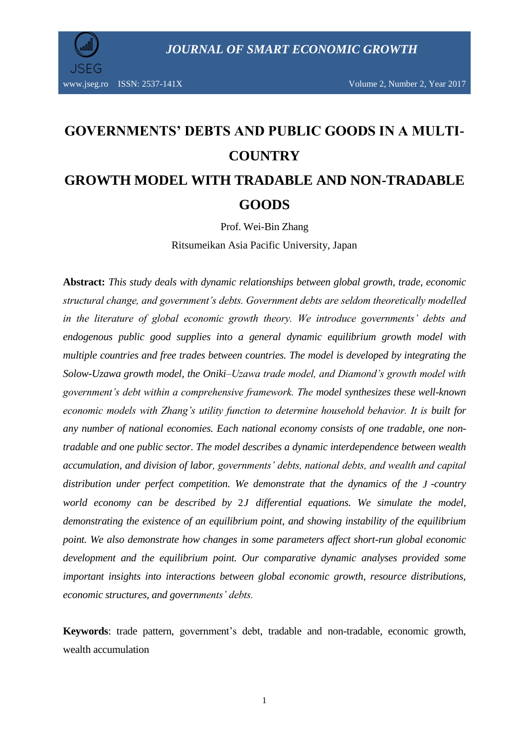

# **GOVERNMENTS' DEBTS AND PUBLIC GOODS IN A MULTI-COUNTRY GROWTH MODEL WITH TRADABLE AND NON-TRADABLE GOODS**

Prof. Wei-Bin Zhang

Ritsumeikan Asia Pacific University, Japan

**Abstract:** *This study deals with dynamic relationships between global growth, trade, economic structural change, and government's debts. Government debts are seldom theoretically modelled in the literature of global economic growth theory. We introduce governments' debts and endogenous public good supplies into a general dynamic equilibrium growth model with multiple countries and free trades between countries. The model is developed by integrating the Solow-Uzawa growth model, the Oniki–Uzawa trade model, and Diamond's growth model with government's debt within a comprehensive framework. The model synthesizes these well-known economic models with Zhang's utility function to determine household behavior. It is built for any number of national economies. Each national economy consists of one tradable, one nontradable and one public sector. The model describes a dynamic interdependence between wealth accumulation, and division of labor, governments' debts, national debts, and wealth and capital distribution under perfect competition. We demonstrate that the dynamics of the J -country world economy can be described by*  2*J differential equations. We simulate the model, demonstrating the existence of an equilibrium point, and showing instability of the equilibrium point. We also demonstrate how changes in some parameters affect short-run global economic development and the equilibrium point. Our comparative dynamic analyses provided some important insights into interactions between global economic growth, resource distributions, economic structures, and governments' debts.* 

**Keywords**: trade pattern, government's debt, tradable and non-tradable, economic growth, wealth accumulation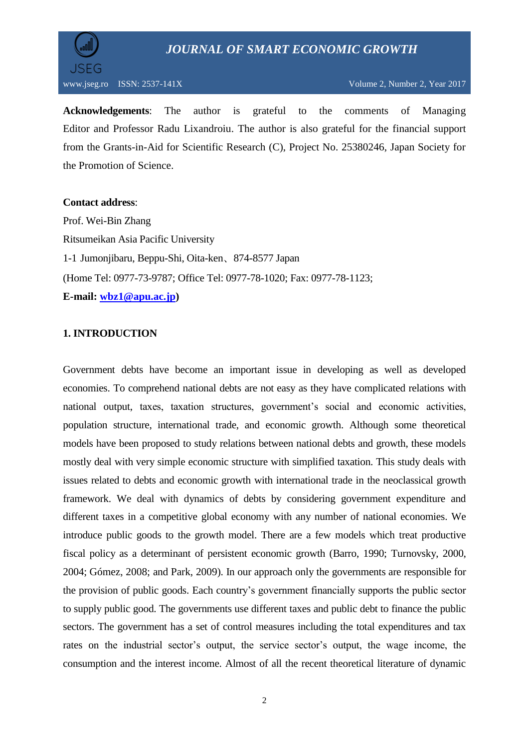

**Acknowledgements**: The author is grateful to the comments of Managing Editor and Professor Radu Lixandroiu. The author is also grateful for the financial support from the Grants-in-Aid for Scientific Research (C), Project No. 25380246, Japan Society for the Promotion of Science.

## **Contact address**:

Prof. Wei-Bin Zhang Ritsumeikan Asia Pacific University 1-1 Jumonjibaru, Beppu-Shi, Oita-ken、874-8577 Japan (Home Tel: 0977-73-9787; Office Tel: 0977-78-1020; Fax: 0977-78-1123; **E-mail: [wbz1@apu.ac.jp\)](mailto:wbz1@apu.ac.jp)**

# **1. INTRODUCTION**

Government debts have become an important issue in developing as well as developed economies. To comprehend national debts are not easy as they have complicated relations with national output, taxes, taxation structures, government's social and economic activities, population structure, international trade, and economic growth. Although some theoretical models have been proposed to study relations between national debts and growth, these models mostly deal with very simple economic structure with simplified taxation. This study deals with issues related to debts and economic growth with international trade in the neoclassical growth framework. We deal with dynamics of debts by considering government expenditure and different taxes in a competitive global economy with any number of national economies. We introduce public goods to the growth model. There are a few models which treat productive fiscal policy as a determinant of persistent economic growth (Barro, 1990; Turnovsky, 2000, 2004; Gómez, 2008; and Park, 2009). In our approach only the governments are responsible for the provision of public goods. Each country's government financially supports the public sector to supply public good. The governments use different taxes and public debt to finance the public sectors. The government has a set of control measures including the total expenditures and tax rates on the industrial sector's output, the service sector's output, the wage income, the consumption and the interest income. Almost of all the recent theoretical literature of dynamic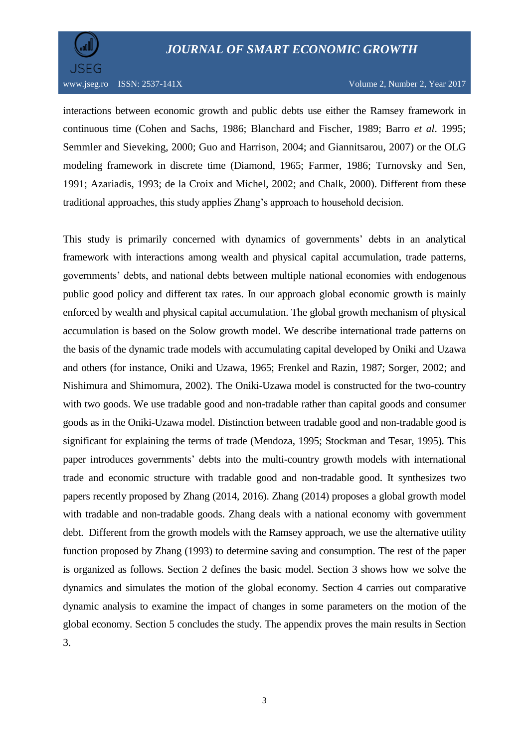

interactions between economic growth and public debts use either the Ramsey framework in continuous time (Cohen and Sachs, 1986; Blanchard and Fischer, 1989; Barro *et al*. 1995; Semmler and Sieveking, 2000; Guo and Harrison, 2004; and Giannitsarou, 2007) or the OLG modeling framework in discrete time (Diamond, 1965; Farmer, 1986; Turnovsky and Sen, 1991; Azariadis, 1993; de la Croix and Michel, 2002; and Chalk, 2000). Different from these traditional approaches, this study applies Zhang's approach to household decision.

This study is primarily concerned with dynamics of governments' debts in an analytical framework with interactions among wealth and physical capital accumulation, trade patterns, governments' debts, and national debts between multiple national economies with endogenous public good policy and different tax rates. In our approach global economic growth is mainly enforced by wealth and physical capital accumulation. The global growth mechanism of physical accumulation is based on the Solow growth model. We describe international trade patterns on the basis of the dynamic trade models with accumulating capital developed by Oniki and Uzawa and others (for instance, Oniki and Uzawa, 1965; Frenkel and Razin, 1987; Sorger, 2002; and Nishimura and Shimomura, 2002). The Oniki-Uzawa model is constructed for the two-country with two goods. We use tradable good and non-tradable rather than capital goods and consumer goods as in the Oniki-Uzawa model. Distinction between tradable good and non-tradable good is significant for explaining the terms of trade (Mendoza, 1995; Stockman and Tesar, 1995). This paper introduces governments' debts into the multi-country growth models with international trade and economic structure with tradable good and non-tradable good. It synthesizes two papers recently proposed by Zhang (2014, 2016). Zhang (2014) proposes a global growth model with tradable and non-tradable goods. Zhang deals with a national economy with government debt. Different from the growth models with the Ramsey approach, we use the alternative utility function proposed by Zhang (1993) to determine saving and consumption. The rest of the paper is organized as follows. Section 2 defines the basic model. Section 3 shows how we solve the dynamics and simulates the motion of the global economy. Section 4 carries out comparative dynamic analysis to examine the impact of changes in some parameters on the motion of the global economy. Section 5 concludes the study. The appendix proves the main results in Section 3.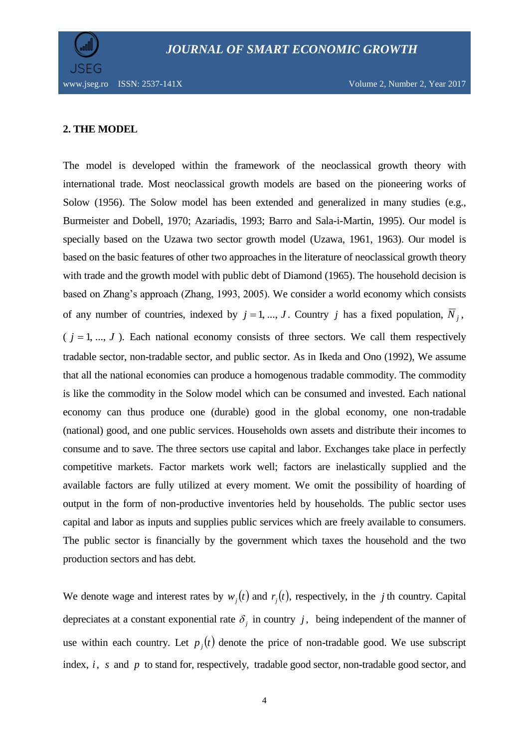



## **2. THE MODEL**

The model is developed within the framework of the neoclassical growth theory with international trade. Most neoclassical growth models are based on the pioneering works of Solow (1956). The Solow model has been extended and generalized in many studies (e.g., Burmeister and Dobell, 1970; Azariadis, 1993; Barro and Sala-i-Martin, 1995). Our model is specially based on the Uzawa two sector growth model (Uzawa, 1961, 1963). Our model is based on the basic features of other two approaches in the literature of neoclassical growth theory with trade and the growth model with public debt of Diamond (1965). The household decision is based on Zhang's approach (Zhang, 1993, 2005). We consider a world economy which consists of any number of countries, indexed by  $j = 1, ..., J$ . Country j has a fixed population,  $\overline{N}_j$ ,  $(j = 1, ..., J)$ . Each national economy consists of three sectors. We call them respectively tradable sector, non-tradable sector, and public sector. As in Ikeda and Ono (1992), We assume that all the national economies can produce a homogenous tradable commodity. The commodity is like the commodity in the Solow model which can be consumed and invested. Each national economy can thus produce one (durable) good in the global economy, one non-tradable (national) good, and one public services. Households own assets and distribute their incomes to consume and to save. The three sectors use capital and labor. Exchanges take place in perfectly competitive markets. Factor markets work well; factors are inelastically supplied and the available factors are fully utilized at every moment. We omit the possibility of hoarding of output in the form of non-productive inventories held by households. The public sector uses capital and labor as inputs and supplies public services which are freely available to consumers. The public sector is financially by the government which taxes the household and the two production sectors and has debt.

We denote wage and interest rates by  $w_i(t)$  and  $r_i(t)$ , respectively, in the *j* th country. Capital depreciates at a constant exponential rate  $\delta_j$  in country j, being independent of the manner of use within each country. Let  $p_i(t)$  denote the price of non-tradable good. We use subscript index, *i*, *s* and *p* to stand for, respectively, tradable good sector, non-tradable good sector, and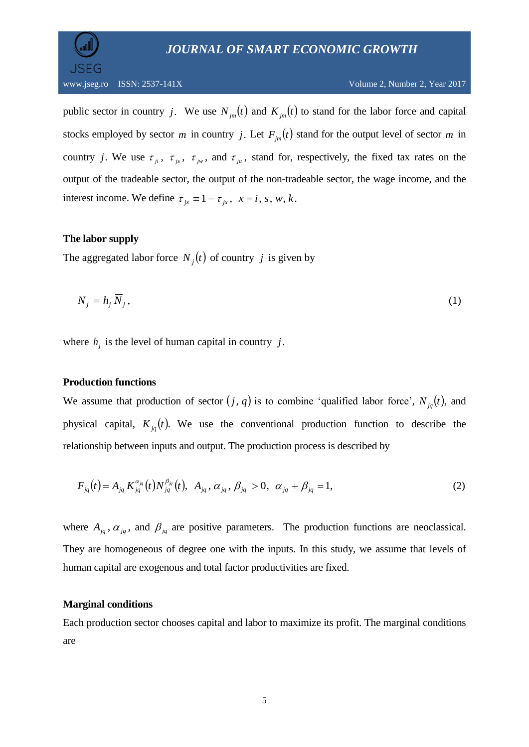

public sector in country *j*. We use  $N_{jm}(t)$  and  $K_{jm}(t)$  to stand for the labor force and capital stocks employed by sector *m* in country *j*. Let  $F_{jm}(t)$  stand for the output level of sector *m* in country *j*. We use  $\tau_{ji}$ ,  $\tau_{js}$ ,  $\tau_{jw}$ , and  $\tau_{ja}$ , stand for, respectively, the fixed tax rates on the output of the tradeable sector, the output of the non-tradeable sector, the wage income, and the interest income. We define  $\overline{\tau}_{jx} \equiv 1 - \tau_{jx}$ ,  $x = i$ , s, w, k.

# **The labor supply**

The aggregated labor force  $N_j(t)$  of country *j* is given by

$$
N_j = h_j \overline{N}_j, \tag{1}
$$

where  $h_j$  is the level of human capital in country j.

# **Production functions**

We assume that production of sector  $(j, q)$  is to combine 'qualified labor force',  $N_{jq}(t)$ , and physical capital,  $K_{jq}(t)$ . We use the conventional production function to describe the relationship between inputs and output. The production process is described by

$$
F_{jq}(t) = A_{jq} K^{\alpha_{jq}}_{jq}(t) N^{\beta_{jq}}_{jq}(t), \ \ A_{jq}, \alpha_{jq}, \beta_{jq} > 0, \ \alpha_{jq} + \beta_{jq} = 1,
$$
 (2)

where  $A_{jq}$ ,  $\alpha_{jq}$ , and  $\beta_{jq}$  are positive parameters. The production functions are neoclassical. They are homogeneous of degree one with the inputs. In this study, we assume that levels of human capital are exogenous and total factor productivities are fixed.

# **Marginal conditions**

Each production sector chooses capital and labor to maximize its profit. The marginal conditions are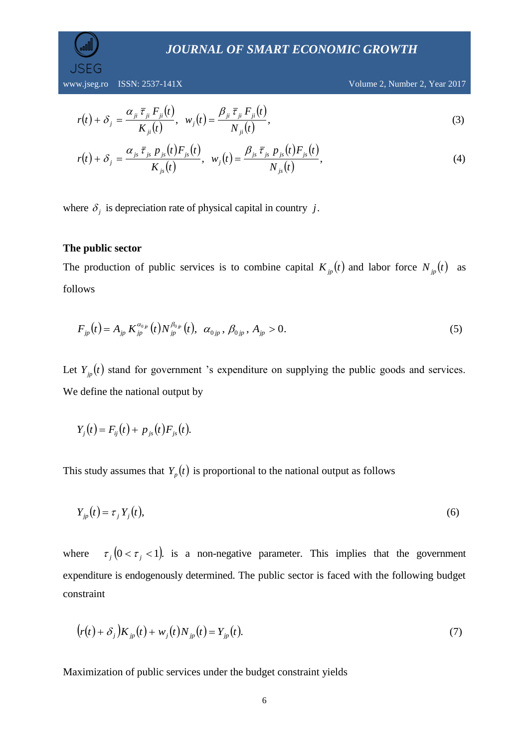www.jseg.ro ISSN: 2537-141X Volume 2, Number 2, Year 2017

$$
r(t) + \delta_j = \frac{\alpha_{ji} \overline{\tau}_{ji} F_{ji}(t)}{K_{ji}(t)}, \ \ w_j(t) = \frac{\beta_{ji} \overline{\tau}_{ji} F_{ji}(t)}{N_{ji}(t)}, \tag{3}
$$

$$
r(t) + \delta_{j} = \frac{\alpha_{j_{s}} \bar{\tau}_{j_{s}} p_{j_{s}}(t) F_{j_{s}}(t)}{K_{j_{s}}(t)}, \ \ w_{j}(t) = \frac{\beta_{j_{s}} \bar{\tau}_{j_{s}} p_{j_{s}}(t) F_{j_{s}}(t)}{N_{j_{s}}(t)}, \tag{4}
$$

where  $\delta_j$  is depreciation rate of physical capital in country j.

# **The public sector**

The production of public services is to combine capital  $K_{jp}(t)$  and labor force  $N_{jp}(t)$  as follows

$$
F_{jp}(t) = A_{jp} K_{jp}^{\alpha_{0;p}}(t) N_{jp}^{\beta_{0;p}}(t), \ \alpha_{0jp}, \beta_{0jp}, A_{jp} > 0. \tag{5}
$$

Let  $Y_{ip}(t)$  stand for government 's expenditure on supplying the public goods and services. We define the national output by

$$
Y_{j}(t) = F_{ij}(t) + p_{js}(t)F_{js}(t).
$$

This study assumes that  $Y_p(t)$  is proportional to the national output as follows

$$
Y_{jp}(t) = \tau_j Y_j(t),\tag{6}
$$

where  $\tau_j$  (0 <  $\tau_j$  < 1). is a non-negative parameter. This implies that the government expenditure is endogenously determined. The public sector is faced with the following budget constraint

$$
(r(t) + \delta_j)K_{jp}(t) + w_j(t)N_{jp}(t) = Y_{jp}(t).
$$
\n(7)

Maximization of public services under the budget constraint yields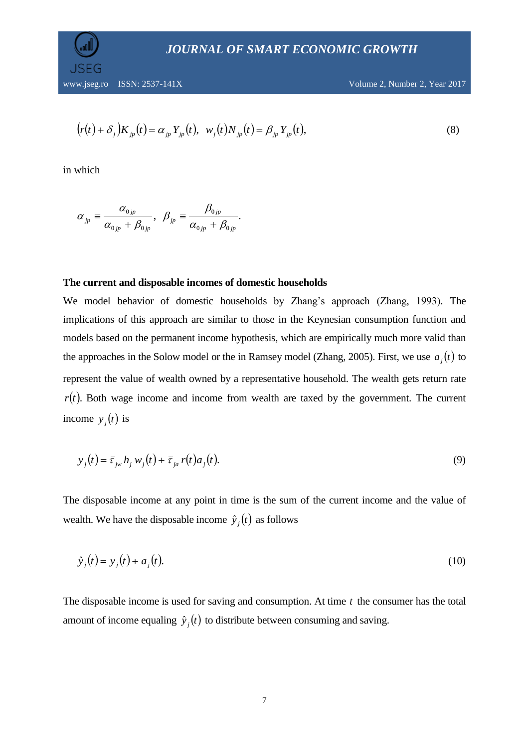JSEG

www.jseg.ro ISSN: 2537-141X Volume 2, Number 2, Year 2017

$$
(r(t) + \delta_j)K_{jp}(t) = \alpha_{jp}Y_{jp}(t), \ \ w_j(t)N_{jp}(t) = \beta_{jp}Y_{jp}(t), \tag{8}
$$

in which

$$
\alpha_{_{jp}}\equiv\frac{\alpha_{_{0\,jp}}}{\alpha_{_{0\,jp}}+\beta_{_{0\,jp}}},\ \ \beta_{_{jp}}\equiv\frac{\beta_{_{0\,jp}}}{\alpha_{_{0\,jp}}+\beta_{_{0\,jp}}}.
$$

#### **The current and disposable incomes of domestic households**

We model behavior of domestic households by Zhang's approach (Zhang, 1993). The implications of this approach are similar to those in the Keynesian consumption function and models based on the permanent income hypothesis, which are empirically much more valid than the approaches in the Solow model or the in Ramsey model (Zhang, 2005). First, we use  $a_j(t)$  to represent the value of wealth owned by a representative household. The wealth gets return rate  $r(t)$ . Both wage income and income from wealth are taxed by the government. The current income  $y_j(t)$  is

$$
y_j(t) = \overline{\tau}_{jw} h_j w_j(t) + \overline{\tau}_{ja} r(t) a_j(t).
$$
\n(9)

The disposable income at any point in time is the sum of the current income and the value of wealth. We have the disposable income  $\hat{y}_j(t)$  as follows

$$
\hat{y}_j(t) = y_j(t) + a_j(t).
$$
\n(10)

The disposable income is used for saving and consumption. At time  $t$  the consumer has the total amount of income equaling  $\hat{y}_j(t)$  to distribute between consuming and saving.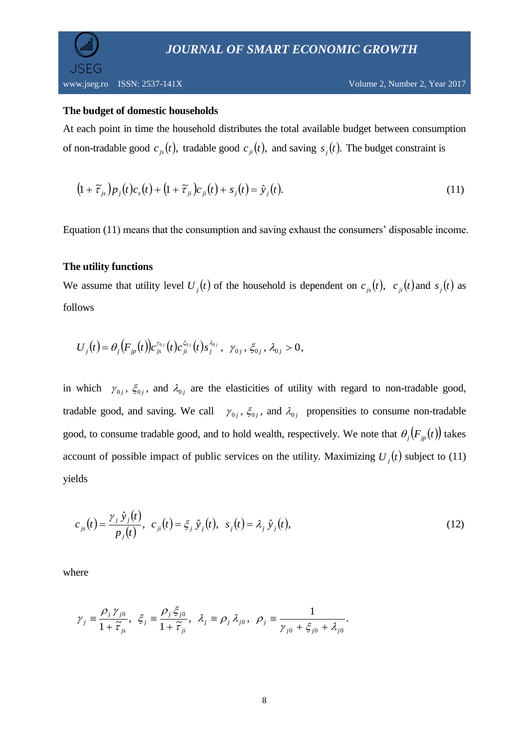**SFG** 

#### **The budget of domestic households**

At each point in time the household distributes the total available budget between consumption of non-tradable good  $c_{i}(t)$ , tradable good  $c_{i}(t)$ , and saving  $s_i(t)$ . The budget constraint is

$$
(1+\widetilde{\tau}_{js})p_j(t)c_s(t) + (1+\widetilde{\tau}_{ji})c_{ji}(t) + s_j(t) = \hat{y}_j(t).
$$
\n(11)

Equation (11) means that the consumption and saving exhaust the consumers' disposable income.

## **The utility functions**

We assume that utility level  $U_i(t)$  of the household is dependent on  $c_{i}(t)$ ,  $c_{i}(t)$  and  $s_i(t)$  as follows

$$
U_j(t) = \theta_j\big(F_{jp}(t)\big)c_{js}^{\gamma_{0j}}(t)c_{ji}^{\xi_{0j}}(t)s_j^{\lambda_{0j}}, \ \gamma_{0j}, \xi_{0j}, \lambda_{0j} > 0,
$$

in which  $\gamma_{0j}$ ,  $\xi_{0j}$ , and  $\lambda_{0j}$  are the elasticities of utility with regard to non-tradable good, tradable good, and saving. We call  $\gamma_{0j}$ ,  $\xi_{0j}$ , and  $\lambda_{0j}$  propensities to consume non-tradable good, to consume tradable good, and to hold wealth, respectively. We note that  $\theta_j(F_{jp}(t))$  takes account of possible impact of public services on the utility. Maximizing  $U_i(t)$  subject to (11) yields

$$
c_{js}(t) = \frac{\gamma_j \hat{y}_j(t)}{p_j(t)}, \ c_{ji}(t) = \xi_j \hat{y}_j(t), \ s_j(t) = \lambda_j \hat{y}_j(t), \tag{12}
$$

$$
\gamma_j \equiv \frac{\rho_j \gamma_{j0}}{1 + \tilde{\tau}_{j_s}}, \ \xi_j \equiv \frac{\rho_j \xi_{j0}}{1 + \tilde{\tau}_{ji}}, \ \lambda_j \equiv \rho_j \lambda_{j0}, \ \rho_j \equiv \frac{1}{\gamma_{j0} + \xi_{j0} + \lambda_{j0}}.
$$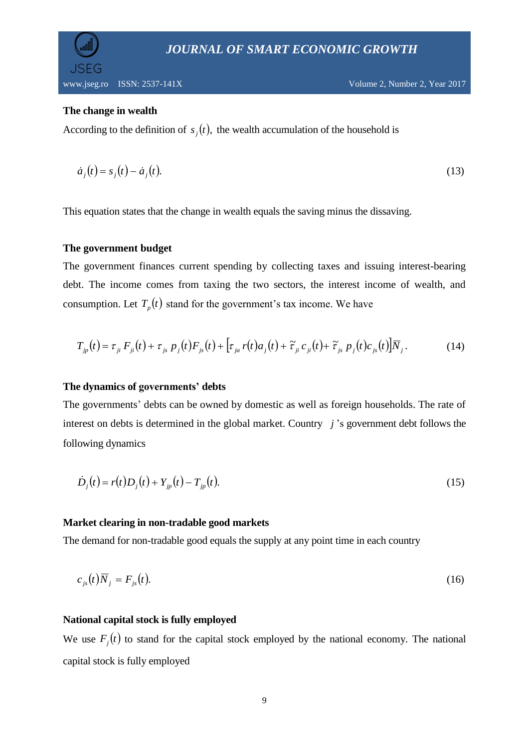

## **The change in wealth**

According to the definition of  $s_j(t)$ , the wealth accumulation of the household is

$$
\dot{a}_j(t) = s_j(t) - \dot{a}_j(t). \tag{13}
$$

This equation states that the change in wealth equals the saving minus the dissaving.

# **The government budget**

The government finances current spending by collecting taxes and issuing interest-bearing debt. The income comes from taxing the two sectors, the interest income of wealth, and consumption. Let  $T_p(t)$  stand for the government's tax income. We have

$$
T_{jp}(t) = \tau_{ji} F_{ji}(t) + \tau_{js} p_j(t) F_{js}(t) + \left[ \tau_{ja} r(t) a_j(t) + \tilde{\tau}_{ji} c_{ji}(t) + \tilde{\tau}_{js} p_j(t) c_{js}(t) \right] \overline{N}_j.
$$
 (14)

# **The dynamics of governments' debts**

The governments' debts can be owned by domestic as well as foreign households. The rate of interest on debts is determined in the global market. Country *j* 's government debt follows the following dynamics

$$
\dot{D}_j(t) = r(t)D_j(t) + Y_{jp}(t) - T_{jp}(t).
$$
\n(15)

#### **Market clearing in non-tradable good markets**

The demand for non-tradable good equals the supply at any point time in each country

$$
c_{js}(t)\overline{N}_j = F_{js}(t). \tag{16}
$$

#### **National capital stock is fully employed**

We use  $F_j(t)$  to stand for the capital stock employed by the national economy. The national capital stock is fully employed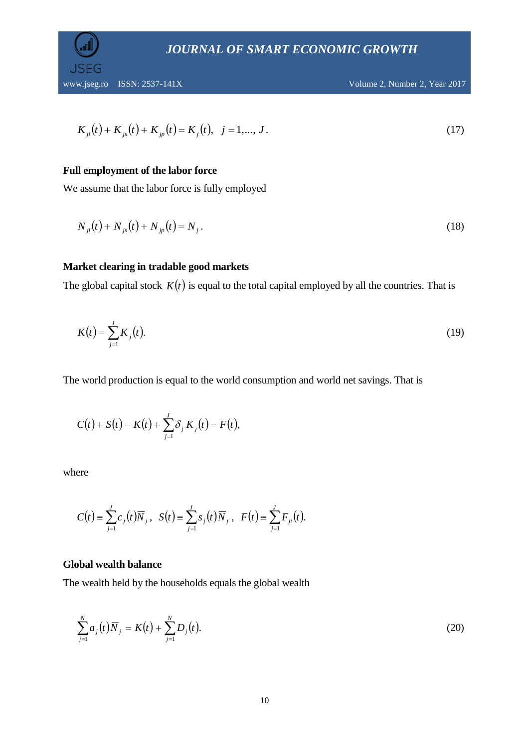**SFG** 

www.jseg.ro ISSN: 2537-141X Volume 2, Number 2, Year 2017

$$
K_{ji}(t) + K_{js}(t) + K_{jp}(t) = K_j(t), \quad j = 1, ..., J. \tag{17}
$$

# **Full employment of the labor force**

We assume that the labor force is fully employed

$$
N_{ji}(t) + N_{js}(t) + N_{jp}(t) = N_j.
$$
\n(18)

## **Market clearing in tradable good markets**

The global capital stock  $K(t)$  is equal to the total capital employed by all the countries. That is

$$
K(t) = \sum_{j=1}^{J} K_j(t).
$$
 (19)

The world production is equal to the world consumption and world net savings. That is

$$
C(t)+S(t)-K(t)+\sum_{j=1}^J \delta_j K_j(t)=F(t),
$$

where

$$
C(t) = \sum_{j=1}^{J} c_j(t) \overline{N}_j, \ \ S(t) = \sum_{j=1}^{J} s_j(t) \overline{N}_j, \ \ F(t) = \sum_{j=1}^{J} F_{ji}(t).
$$

## **Global wealth balance**

The wealth held by the households equals the global wealth

$$
\sum_{j=1}^{N} a_j(t) \overline{N}_j = K(t) + \sum_{j=1}^{N} D_j(t).
$$
 (20)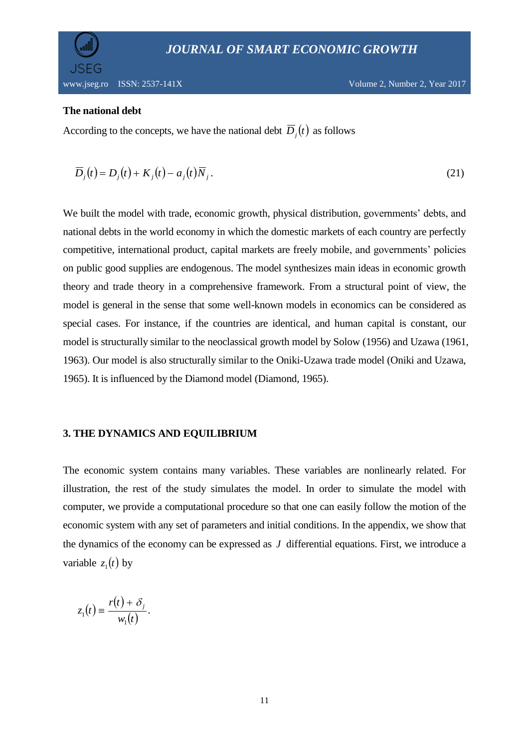

# **The national debt**

JSFG

According to the concepts, we have the national debt  $\overline{D}_j(t)$  as follows

$$
\overline{D}_j(t) = D_j(t) + K_j(t) - a_j(t)\overline{N}_j.
$$
\n(21)

We built the model with trade, economic growth, physical distribution, governments' debts, and national debts in the world economy in which the domestic markets of each country are perfectly competitive, international product, capital markets are freely mobile, and governments' policies on public good supplies are endogenous. The model synthesizes main ideas in economic growth theory and trade theory in a comprehensive framework. From a structural point of view, the model is general in the sense that some well-known models in economics can be considered as special cases. For instance, if the countries are identical, and human capital is constant, our model is structurally similar to the neoclassical growth model by Solow (1956) and Uzawa (1961, 1963). Our model is also structurally similar to the Oniki-Uzawa trade model (Oniki and Uzawa, 1965). It is influenced by the Diamond model (Diamond, 1965).

#### **3. THE DYNAMICS AND EQUILIBRIUM**

The economic system contains many variables. These variables are nonlinearly related. For illustration, the rest of the study simulates the model. In order to simulate the model with computer, we provide a computational procedure so that one can easily follow the motion of the economic system with any set of parameters and initial conditions. In the appendix, we show that the dynamics of the economy can be expressed as *J* differential equations. First, we introduce a variable  $z_1(t)$  by

$$
z_1(t) \equiv \frac{r(t) + \delta_j}{w_1(t)}.
$$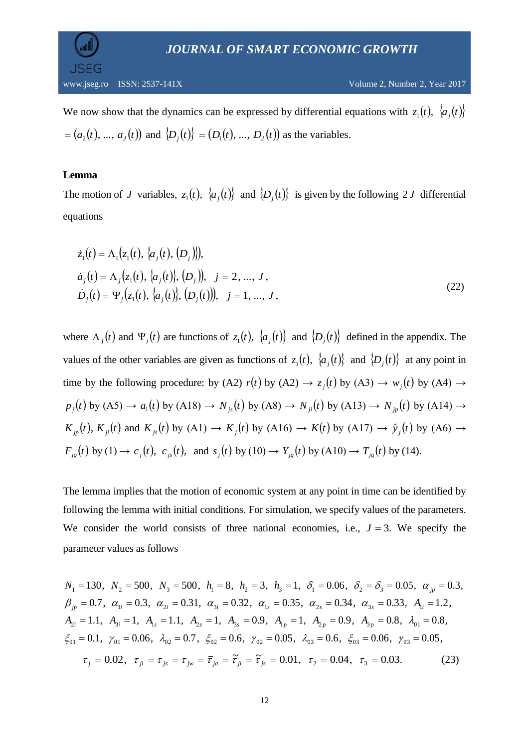

We now show that the dynamics can be expressed by differential equations with  $z_1(t)$ ,  $\{a_j(t)\}$  $a = (a_2(t), ..., a_j(t))$  and  $\{D_j(t)\} = (D_1(t), ..., D_j(t))$  as the variables.

## **Lemma**

The motion of *J* variables,  $z_1(t)$ ,  $\{a_j(t)\}\$  and  $\{D_j(t)\}\$  is given by the following 2*J* differential equations

$$
\dot{z}_1(t) = \Lambda_1(z_1(t), \{a_j(t), (D_j)\}),
$$
\n
$$
\dot{a}_j(t) = \Lambda_j(z_1(t), \{a_j(t)\}, (D_j)), \quad j = 2, ..., J,
$$
\n
$$
\dot{D}_j(t) = \Psi_j(z_1(t), \{a_j(t)\}, (D_j(t))), \quad j = 1, ..., J,
$$
\n(22)

where  $\Lambda_j(t)$  and  $\Psi_j(t)$  are functions of  $z_1(t)$ ,  $\{a_j(t)\}\$  and  $\{D_j(t)\}\$  defined in the appendix. The values of the other variables are given as functions of  $z_1(t)$ ,  $\{a_j(t)\}\$ and  $\{D_j(t)\}\$ at any point in time by the following procedure: by (A2)  $r(t)$  by (A2)  $\rightarrow z_j(t)$  by (A3)  $\rightarrow w_j(t)$  by (A4)  $\rightarrow$  $p_j(t)$  by (A5)  $\rightarrow a_1(t)$  by (A18)  $\rightarrow N_{j_s}(t)$  by (A8)  $\rightarrow N_{j_t}(t)$  by (A13)  $\rightarrow N_{j_p}(t)$  by (A14)  $\rightarrow$  $K_{jp}(t)$ ,  $K_{ji}(t)$  and  $K_{js}(t)$  by (A1)  $\rightarrow K_j(t)$  by (A16)  $\rightarrow K(t)$  by (A17)  $\rightarrow \hat{y}_j(t)$  by (A6)  $\rightarrow$  $F_{jq}(t)$  by (1)  $\to c_j(t)$ ,  $c_{js}(t)$ , and  $s_j(t)$  by (10)  $\to Y_{jq}(t)$  by (A10)  $\to T_{jq}(t)$  by (14).

The lemma implies that the motion of economic system at any point in time can be identified by following the lemma with initial conditions. For simulation, we specify values of the parameters. We consider the world consists of three national economies, i.e.,  $J = 3$ . We specify the parameter values as follows

$$
N_1 = 130, N_2 = 500, N_3 = 500, h_1 = 8, h_2 = 3, h_3 = 1, \delta_1 = 0.06, \delta_2 = \delta_3 = 0.05, \alpha_{jp} = 0.3, \n\beta_{jp} = 0.7, \alpha_{1i} = 0.3, \alpha_{2i} = 0.31, \alpha_{3i} = 0.32, \alpha_{1s} = 0.35, \alpha_{2s} = 0.34, \alpha_{3s} = 0.33, A_{1i} = 1.2, \nA_{2i} = 1.1, A_{3i} = 1, A_{1s} = 1.1, A_{2s} = 1, A_{3s} = 0.9, A_{1p} = 1, A_{2p} = 0.9, A_{3p} = 0.8, \lambda_{01} = 0.8, \n\xi_{01} = 0.1, \gamma_{01} = 0.06, \lambda_{02} = 0.7, \xi_{02} = 0.6, \gamma_{02} = 0.05, \lambda_{03} = 0.6, \xi_{03} = 0.06, \gamma_{03} = 0.05, \n\tau_j = 0.02, \tau_{ji} = \tau_{js} = \tau_{ju} = \overline{\tau}_{ja} = \widetilde{\tau}_{ji} = \widetilde{\tau}_{js} = 0.01, \tau_2 = 0.04, \tau_3 = 0.03.
$$
\n(23)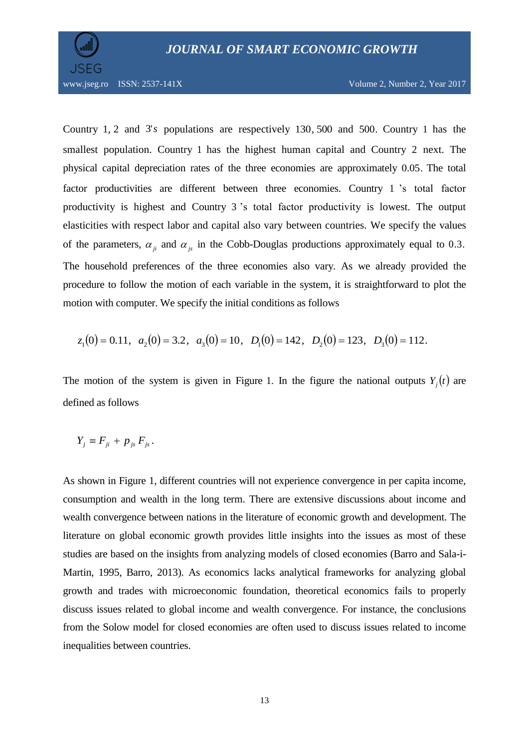

Country 1, 2 and 3's populations are respectively 130, 500 and 500. Country 1 has the smallest population. Country 1 has the highest human capital and Country 2 next. The physical capital depreciation rates of the three economies are approximately 0.05. The total factor productivities are different between three economies. Country 1 's total factor productivity is highest and Country 3 's total factor productivity is lowest. The output elasticities with respect labor and capital also vary between countries. We specify the values of the parameters,  $\alpha_{ji}$  and  $\alpha_{js}$  in the Cobb-Douglas productions approximately equal to 0.3. The household preferences of the three economies also vary. As we already provided the procedure to follow the motion of each variable in the system, it is straightforward to plot the motion with computer. We specify the initial conditions as follows

$$
z_1(0) = 0.11
$$
,  $a_2(0) = 3.2$ ,  $a_3(0) = 10$ ,  $D_1(0) = 142$ ,  $D_2(0) = 123$ ,  $D_3(0) = 112$ .

The motion of the system is given in Figure 1. In the figure the national outputs  $Y_i(t)$  are defined as follows

$$
Y_j \equiv F_{ji} + p_{js} F_{js}.
$$

As shown in Figure 1, different countries will not experience convergence in per capita income, consumption and wealth in the long term. There are extensive discussions about income and wealth convergence between nations in the literature of economic growth and development. The literature on global economic growth provides little insights into the issues as most of these studies are based on the insights from analyzing models of closed economies (Barro and Sala-i-Martin, 1995, Barro, 2013). As economics lacks analytical frameworks for analyzing global growth and trades with microeconomic foundation, theoretical economics fails to properly discuss issues related to global income and wealth convergence. For instance, the conclusions from the Solow model for closed economies are often used to discuss issues related to income inequalities between countries.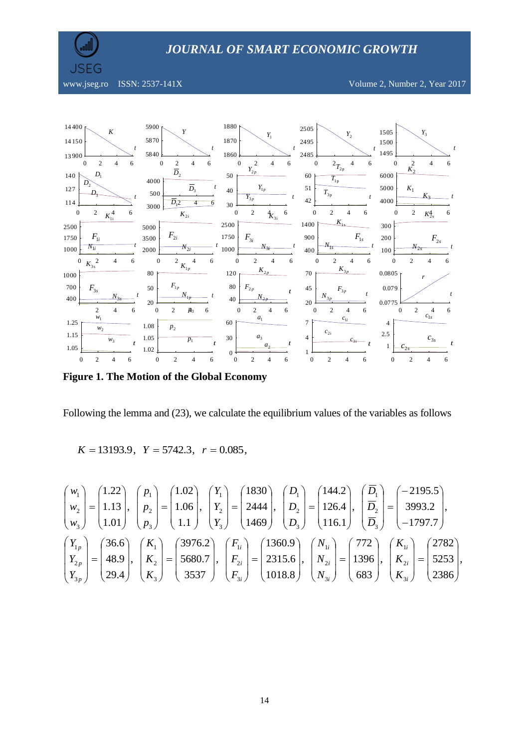**JSEG** 

www.jseg.ro ISSN: 2537-141X Volume 2, Number 2, Year 2017



**Figure 1. The Motion of the Global Economy**

Following the lemma and (23), we calculate the equilibrium values of the variables as follows

$$
K = 13193.9
$$
,  $Y = 5742.3$ ,  $r = 0.085$ ,

$$
\begin{pmatrix} w_1 \\ w_2 \\ w_3 \end{pmatrix} = \begin{pmatrix} 1.22 \\ 1.13 \\ 1.01 \end{pmatrix}, \begin{pmatrix} p_1 \\ p_2 \\ p_3 \end{pmatrix} = \begin{pmatrix} 1.02 \\ 1.06 \\ 1.1 \end{pmatrix}, \begin{pmatrix} Y_1 \\ Y_2 \\ Y_3 \end{pmatrix} = \begin{pmatrix} 1830 \\ 2444 \\ 1469 \end{pmatrix}, \begin{pmatrix} D_1 \\ D_2 \\ D_3 \end{pmatrix} = \begin{pmatrix} 144.2 \\ 126.4 \\ 116.1 \end{pmatrix}, \begin{pmatrix} \overline{D}_1 \\ \overline{D}_2 \\ \overline{D}_3 \end{pmatrix} = \begin{pmatrix} -2195.5 \\ 3993.2 \\ -1797.7 \end{pmatrix},
$$
  

$$
\begin{pmatrix} Y_{1p} \\ Y_{2p} \\ Y_{2p} \\ Y_{3p} \end{pmatrix} = \begin{pmatrix} 36.6 \\ 48.9 \\ 29.4 \end{pmatrix}, \begin{pmatrix} K_1 \\ K_2 \\ K_3 \end{pmatrix} = \begin{pmatrix} 3976.2 \\ 5680.7 \\ 3537 \end{pmatrix}, \begin{pmatrix} F_{1i} \\ F_{2i} \\ F_{3i} \end{pmatrix} = \begin{pmatrix} 1360.9 \\ 2315.6 \\ 1018.8 \end{pmatrix}, \begin{pmatrix} N_{1i} \\ N_{2i} \\ N_{3i} \end{pmatrix} = \begin{pmatrix} 772 \\ 1396 \\ 683 \end{pmatrix}, \begin{pmatrix} K_{1i} \\ K_{2i} \\ K_{3i} \end{pmatrix} = \begin{pmatrix} 2782 \\ 5253 \\ 2386 \end{pmatrix},
$$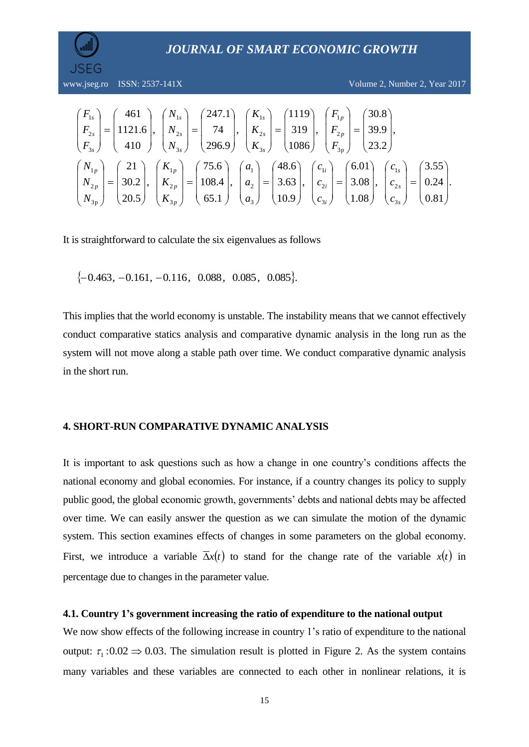

www.jseg.ro ISSN: 2537-141X Volume 2, Number 2, Year 2017

$$
\begin{pmatrix}\nF_{1s} \\
F_{2s} \\
F_{3s}\n\end{pmatrix} =\n\begin{pmatrix}\n461 \\
1121.6 \\
410\n\end{pmatrix},\n\begin{pmatrix}\nN_{1s} \\
N_{2s} \\
N_{3s}\n\end{pmatrix} =\n\begin{pmatrix}\n247.1 \\
74 \\
296.9\n\end{pmatrix},\n\begin{pmatrix}\nK_{1s} \\
K_{2s} \\
K_{3s}\n\end{pmatrix} =\n\begin{pmatrix}\n319 \\
319 \\
1086\n\end{pmatrix},\n\begin{pmatrix}\nF_{1p} \\
F_{2p} \\
F_{3p}\n\end{pmatrix} =\n\begin{pmatrix}\n39.9 \\
39.9 \\
23.2\n\end{pmatrix},
$$
\n
$$
\begin{pmatrix}\nN_{1p} \\
N_{2p} \\
N_{3p}\n\end{pmatrix} =\n\begin{pmatrix}\n21 \\
30.2 \\
20.5\n\end{pmatrix},\n\begin{pmatrix}\nK_{1p} \\
K_{2p} \\
K_{3p}\n\end{pmatrix} =\n\begin{pmatrix}\n75.6 \\
108.4 \\
65.1\n\end{pmatrix},\n\begin{pmatrix}\na_1 \\
a_2 \\
a_3\n\end{pmatrix} =\n\begin{pmatrix}\n48.6 \\
3.63 \\
10.9\n\end{pmatrix},\n\begin{pmatrix}\nc_{1i} \\
c_{2i} \\
c_{3i}\n\end{pmatrix} =\n\begin{pmatrix}\n6.01 \\
3.08 \\
1.08\n\end{pmatrix},\n\begin{pmatrix}\nc_{1s} \\
c_{2s} \\
c_{3s}\n\end{pmatrix} =\n\begin{pmatrix}\n3.55 \\
0.24 \\
0.81\n\end{pmatrix}.
$$

It is straightforward to calculate the six eigenvalues as follows

 $\{-0.463, -0.161, -0.116, 0.088, 0.085, 0.085\}.$ 

This implies that the world economy is unstable. The instability means that we cannot effectively conduct comparative statics analysis and comparative dynamic analysis in the long run as the system will not move along a stable path over time. We conduct comparative dynamic analysis in the short run.

#### **4. SHORT-RUN COMPARATIVE DYNAMIC ANALYSIS**

It is important to ask questions such as how a change in one country's conditions affects the national economy and global economies. For instance, if a country changes its policy to supply public good, the global economic growth, governments' debts and national debts may be affected over time. We can easily answer the question as we can simulate the motion of the dynamic system. This section examines effects of changes in some parameters on the global economy. First, we introduce a variable  $\overline{\Delta}x(t)$  to stand for the change rate of the variable  $x(t)$  in percentage due to changes in the parameter value.

#### **4.1. Country 1's government increasing the ratio of expenditure to the national output**

We now show effects of the following increase in country 1's ratio of expenditure to the national output:  $\tau_1$ :0.02  $\Rightarrow$  0.03. The simulation result is plotted in Figure 2. As the system contains many variables and these variables are connected to each other in nonlinear relations, it is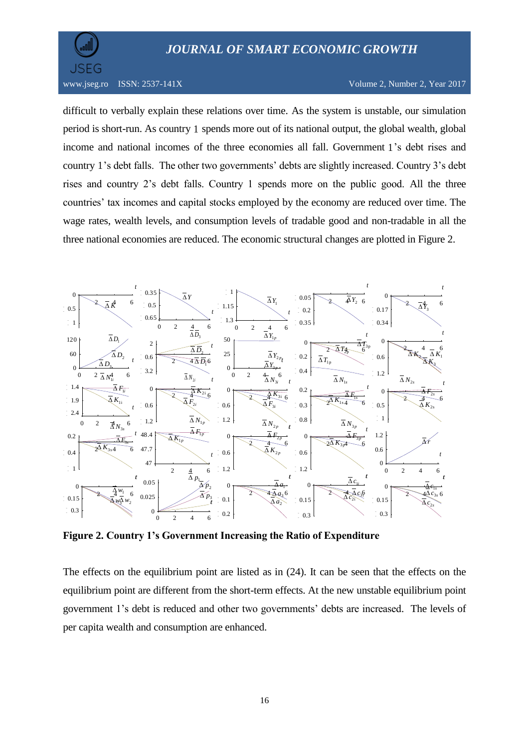

www.jseg.ro ISSN: 2537-141X Volume 2, Number 2, Year 2017

difficult to verbally explain these relations over time. As the system is unstable, our simulation period is short-run. As country 1 spends more out of its national output, the global wealth, global income and national incomes of the three economies all fall. Government 1 's debt rises and country 1 's debt falls. The other two governments' debts are slightly increased. Country 3's debt rises and country 2's debt falls. Country 1 spends more on the public good. All the three countries' tax incomes and capital stocks employed by the economy are reduced over time. The wage rates, wealth levels, and consumption levels of tradable good and non-tradable in all the three national economies are reduced. The economic structural changes are plotted in Figure 2.



**Figure 2. Country 1's Government Increasing the Ratio of Expenditure** 

The effects on the equilibrium point are listed as in (24). It can be seen that the effects on the equilibrium point are different from the short-term effects. At the new unstable equilibrium point government 1's debt is reduced and other two governments' debts are increased. The levels of per capita wealth and consumption are enhanced.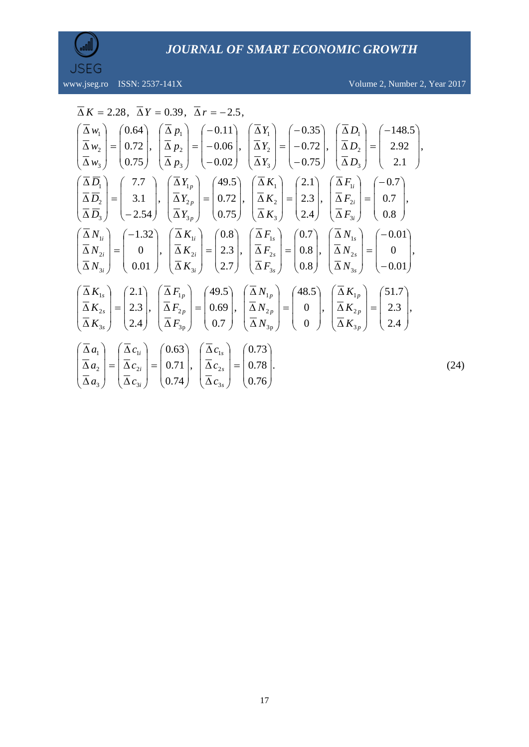

www.jseg.ro ISSN: 2537-141X Volume 2, Number 2, Year 2017

(24)

$$
\overline{\Delta} K = 2.28, \quad \overline{\Delta} Y = 0.39, \quad \overline{\Delta} r = -2.5,
$$
\n
$$
\begin{pmatrix}\n\overline{\Delta} w_1 \\
\overline{\Delta} w_2 \\
\overline{\Delta} w_3\n\end{pmatrix} = \begin{pmatrix}\n0.64 \\
0.72 \\
0.75\n\end{pmatrix}, \quad\n\begin{pmatrix}\n\overline{\Delta} p_1 \\
\overline{\Delta} p_2 \\
\overline{\Delta} p_3\n\end{pmatrix} = \begin{pmatrix}\n-0.11 \\
-0.06 \\
-0.02\n\end{pmatrix}, \quad\n\begin{pmatrix}\n\overline{\Delta} Y_1 \\
\overline{\Delta} Y_2 \\
\overline{\Delta} Y_3\n\end{pmatrix} = \begin{pmatrix}\n-0.72 \\
-0.75\n\end{pmatrix}, \quad\n\begin{pmatrix}\n\overline{\Delta} D_1 \\
\overline{\Delta} D_2 \\
\overline{\Delta} D_3\n\end{pmatrix} = \begin{pmatrix}\n-148.5 \\
2.92 \\
2.1\n\end{pmatrix},
$$
\n
$$
\begin{pmatrix}\n\overline{\Delta} \overline{D}_1 \\
\overline{\Delta} \overline{D}_2 \\
\overline{\Delta} \overline{D}_3\n\end{pmatrix} = \begin{pmatrix}\n7.7 \\
3.1 \\
-2.54\n\end{pmatrix}, \quad\n\begin{pmatrix}\n\overline{\Delta} Y_{1p} \\
\overline{\Delta} Y_{2p} \\
\overline{\Delta} Y_{3p}\n\end{pmatrix} = \begin{pmatrix}\n49.5 \\
0.72 \\
0.75\n\end{pmatrix}, \quad\n\begin{pmatrix}\n\overline{\Delta} K_1 \\
\overline{\Delta} K_2 \\
\overline{\Delta} K_3\n\end{pmatrix} = \begin{pmatrix}\n2.1 \\
2.3 \\
2.4\n\end{pmatrix}, \quad\n\begin{pmatrix}\n\overline{\Delta} F_{1i} \\
\overline{\Delta} F_{2i} \\
\overline{\Delta} F_{3i}\n\end{pmatrix} = \begin{pmatrix}\n-0.01 \\
0.8 \\
0.8\n\end{pmatrix}, \quad\n\begin{pmatrix}\n\overline{\Delta} N_{1i} \\
\overline{\Delta} N_{2i} \\
\overline{\Delta} N_{3i}\n\end{pmatrix} = \begin{pmatrix}\n-1.32 \\
0.01\n\end{pmatrix}, \quad\n\begin{pm
$$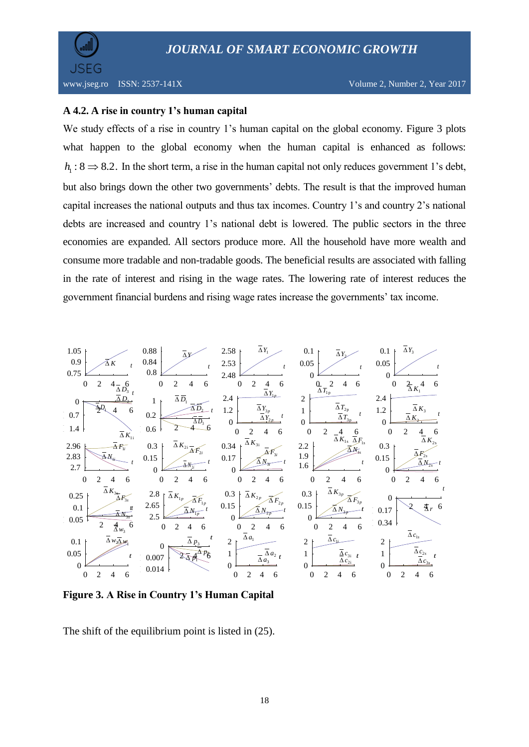

# **A 4.2. A rise in country 1's human capital**

We study effects of a rise in country 1's human capital on the global economy. Figure 3 plots what happen to the global economy when the human capital is enhanced as follows:  $h_1: 8 \Rightarrow 8.2$ . In the short term, a rise in the human capital not only reduces government 1's debt, but also brings down the other two governments' debts. The result is that the improved human capital increases the national outputs and thus tax incomes. Country 1's and country 2's national debts are increased and country 1's national debt is lowered. The public sectors in the three economies are expanded. All sectors produce more. All the household have more wealth and consume more tradable and non-tradable goods. The beneficial results are associated with falling in the rate of interest and rising in the wage rates. The lowering rate of interest reduces the government financial burdens and rising wage rates increase the governments' tax income.



**Figure 3. A Rise in Country 1's Human Capital**

The shift of the equilibrium point is listed in (25).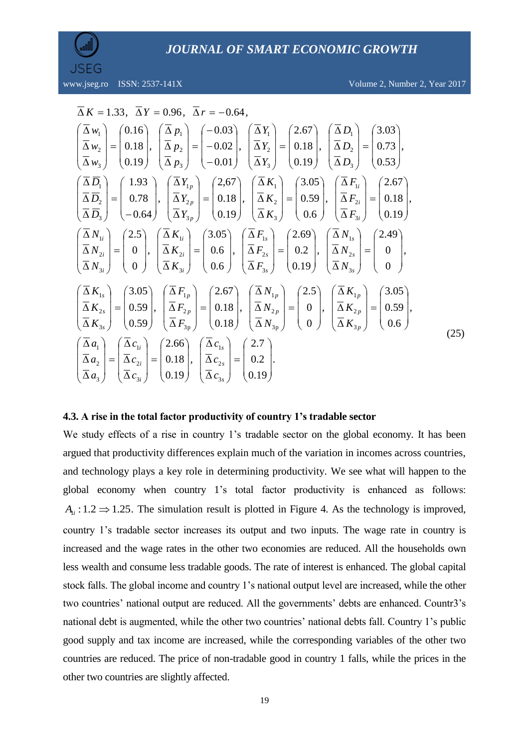

www.jseg.ro ISSN: 2537-141X Volume 2, Number 2, Year 2017

$$
\overline{\Delta} K = 1.33, \quad \overline{\Delta} Y = 0.96, \quad \overline{\Delta} r = -0.64,
$$
\n
$$
\left(\frac{\overline{\Delta} w_1}{\overline{\Delta} w_2}\right) = \left(\begin{array}{c} 0.16 \\ 0.18 \\ 0.19 \end{array}\right), \quad \left(\frac{\overline{\Delta} p_1}{\overline{\Delta} p_2}\right) = \left(\begin{array}{c} -0.03 \\ -0.02 \\ -0.01 \end{array}\right), \quad \left(\frac{\overline{\Delta} Y_1}{\overline{\Delta} Y_2}\right) = \left(\begin{array}{c} 2.67 \\ 0.18 \\ 0.19 \end{array}\right), \quad \left(\frac{\overline{\Delta} D_1}{\overline{\Delta} D_2}\right) = \left(\begin{array}{c} 3.03 \\ 0.73 \\ 0.53 \end{array}\right),
$$
\n
$$
\left(\frac{\overline{\Delta} D_1}{\overline{\Delta} D_2}\right) = \left(\begin{array}{c} 1.93 \\ 0.78 \\ -0.64 \end{array}\right), \quad \left(\frac{\overline{\Delta} Y_{1p}}{\overline{\Delta} Y_{2p}}\right) = \left(\begin{array}{c} 2.67 \\ 0.18 \\ 0.19 \end{array}\right), \quad \left(\frac{\overline{\Delta} K_1}{\overline{\Delta} K_2}\right) = \left(\begin{array}{c} 3.05 \\ 0.59 \\ 0.6 \end{array}\right), \quad \left(\frac{\overline{\Delta} F_{1i}}{\overline{\Delta} F_{2i}}\right) = \left(\begin{array}{c} 2.67 \\ 0.18 \\ 0.19 \end{array}\right),
$$
\n
$$
\left(\frac{\overline{\Delta} K_1}{\overline{\Delta} K_2}\right) = \left(\begin{array}{c} 2.69 \\ 0.2 \\ 0.19 \end{array}\right), \quad \left(\frac{\overline{\Delta} N_1}{\overline{\Delta} N_2} \right) = \left(\begin{array}{c} 2.49 \\ 0.19 \\ 0.19 \end{array}\right),
$$
\n
$$
\left(\frac{\overline{\Delta} N_{1s}}{\overline{\Delta} N_{2s}}\right) = \left(\begin{array}{c} 3.05 \\ 0.6 \\ 0.6 \end{array}\right
$$

#### **4.3. A rise in the total factor productivity of country 1's tradable sector**

We study effects of a rise in country 1's tradable sector on the global economy. It has been argued that productivity differences explain much of the variation in incomes across countries, and technology plays a key role in determining productivity. We see what will happen to the global economy when country 1's total factor productivity is enhanced as follows:  $A_{1i}: 1.2 \implies 1.25$ . The simulation result is plotted in Figure 4. As the technology is improved, country 1's tradable sector increases its output and two inputs. The wage rate in country is increased and the wage rates in the other two economies are reduced. All the households own less wealth and consume less tradable goods. The rate of interest is enhanced. The global capital stock falls. The global income and country 1's national output level are increased, while the other two countries' national output are reduced. All the governments' debts are enhanced. Countr3's national debt is augmented, while the other two countries' national debts fall. Country 1's public good supply and tax income are increased, while the corresponding variables of the other two countries are reduced. The price of non-tradable good in country 1 falls, while the prices in the other two countries are slightly affected.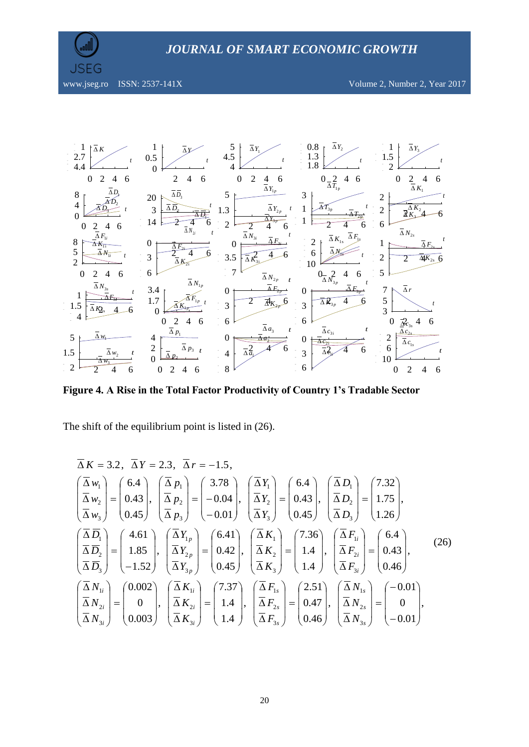



**Figure 4. A Rise in the Total Factor Productivity of Country 1's Tradable Sector**

The shift of the equilibrium point is listed in  $(26)$ .

$$
\overline{\Delta} K = 3.2, \quad \overline{\Delta} Y = 2.3, \quad \overline{\Delta} Y = -1.5,
$$
\n
$$
\begin{pmatrix}\n\overline{\Delta} w_1 \\
\overline{\Delta} w_2 \\
\overline{\Delta} w_3\n\end{pmatrix} = \begin{pmatrix}\n6.4 \\
0.43 \\
0.45\n\end{pmatrix}, \quad\n\begin{pmatrix}\n\overline{\Delta} p_1 \\
\overline{\Delta} p_2 \\
\overline{\Delta} p_3\n\end{pmatrix} = \begin{pmatrix}\n3.78 \\
-0.04 \\
-0.01\n\end{pmatrix}, \quad\n\begin{pmatrix}\n\overline{\Delta} Y_1 \\
\overline{\Delta} Y_2 \\
\overline{\Delta} Y_3\n\end{pmatrix} = \begin{pmatrix}\n6.4 \\
0.43 \\
0.45\n\end{pmatrix}, \quad\n\begin{pmatrix}\n\overline{\Delta} D_1 \\
\overline{\Delta} D_2 \\
\overline{\Delta} D_3\n\end{pmatrix} = \begin{pmatrix}\n1.75 \\
1.75 \\
1.26\n\end{pmatrix},
$$
\n
$$
\begin{pmatrix}\n\overline{\Delta} \overline{D}_1 \\
\overline{\Delta} \overline{D}_2 \\
\overline{\Delta} \overline{D}_3\n\end{pmatrix} = \begin{pmatrix}\n4.61 \\
1.85 \\
-1.52\n\end{pmatrix}, \quad\n\begin{pmatrix}\n\overline{\Delta} Y_{1p} \\
\overline{\Delta} Y_{2p} \\
\overline{\Delta} Y_{3p}\n\end{pmatrix} = \begin{pmatrix}\n6.41 \\
0.42 \\
0.45\n\end{pmatrix}, \quad\n\begin{pmatrix}\n\overline{\Delta} K_1 \\
\overline{\Delta} K_2 \\
\overline{\Delta} K_3\n\end{pmatrix} = \begin{pmatrix}\n7.36 \\
1.4 \\
1.4\n\end{pmatrix}, \quad\n\begin{pmatrix}\n\overline{\Delta} F_{1i} \\
\overline{\Delta} F_{2i} \\
\overline{\Delta} F_{3i}\n\end{pmatrix} = \begin{pmatrix}\n6.4 \\
0.43 \\
0.46\n\end{pmatrix},
$$
\n
$$
\begin{pmatrix}\n\overline{\Delta} W_{1i} \\
\overline{\Delta} N_{2i} \\
\overline{\Delta} N_{3i}\n\end{pmatrix} = \begin{pmatrix}\n0.002 \\
0 \\
0 \\
0.003\n\end
$$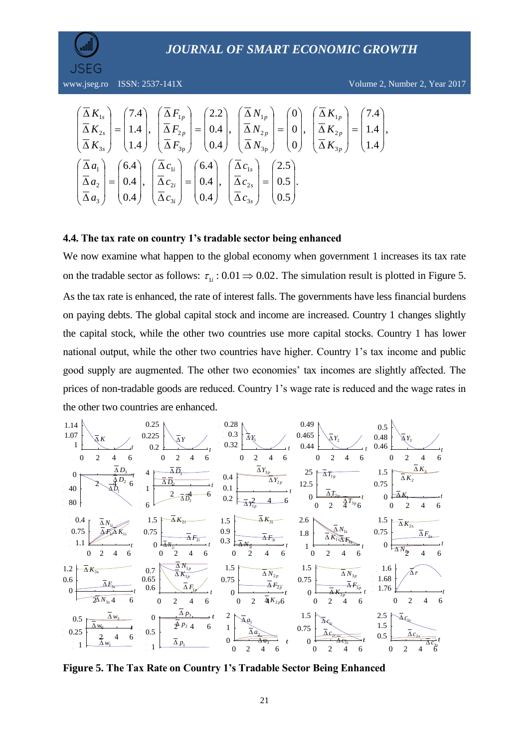

$$
\begin{pmatrix}\n\overline{\Delta}\,K_{1s} \\
\overline{\Delta}\,K_{2s} \\
\overline{\Delta}\,K_{3s}\n\end{pmatrix} =\n\begin{pmatrix}\n7.4 \\
1.4 \\
1.4\n\end{pmatrix},\n\begin{pmatrix}\n\overline{\Delta}\,F_{1p} \\
\overline{\Delta}\,F_{2p} \\
\overline{\Delta}\,F_{3p}\n\end{pmatrix} =\n\begin{pmatrix}\n2.2 \\
0.4 \\
0.4\n\end{pmatrix},\n\begin{pmatrix}\n\overline{\Delta}\,N_{1p} \\
\overline{\Delta}\,N_{2p} \\
\overline{\Delta}\,N_{3p}\n\end{pmatrix} =\n\begin{pmatrix}\n0 \\
0 \\
0\n\end{pmatrix},\n\begin{pmatrix}\n\overline{\Delta}\,K_{1p} \\
\overline{\Delta}\,K_{2p} \\
\overline{\Delta}\,K_{3p}\n\end{pmatrix} =\n\begin{pmatrix}\n7.4 \\
1.4\n\end{pmatrix},
$$
\n
$$
\begin{pmatrix}\n\overline{\Delta}\,a_1 \\
\overline{\Delta}\,a_2 \\
\overline{\Delta}\,a_3\n\end{pmatrix} =\n\begin{pmatrix}\n6.4 \\
0.4 \\
0.4\n\end{pmatrix},\n\begin{pmatrix}\n\overline{\Delta}\,c_{1i} \\
\overline{\Delta}\,c_{2i} \\
0.4\n\end{pmatrix} =\n\begin{pmatrix}\n6.4 \\
0.4 \\
0.4\n\end{pmatrix},\n\begin{pmatrix}\n\overline{\Delta}\,c_{1s} \\
\overline{\Delta}\,c_{2s} \\
0.5\n\end{pmatrix} =\n\begin{pmatrix}\n2.5 \\
0.5 \\
0.5\n\end{pmatrix}.
$$

## **4.4. The tax rate on country 1's tradable sector being enhanced**

We now examine what happen to the global economy when government 1 increases its tax rate on the tradable sector as follows:  $\tau_{1i}$ : 0.01  $\Rightarrow$  0.02. The simulation result is plotted in Figure 5. As the tax rate is enhanced, the rate of interest falls. The governments have less financial burdens on paying debts. The global capital stock and income are increased. Country 1 changes slightly the capital stock, while the other two countries use more capital stocks. Country 1 has lower national output, while the other two countries have higher. Country 1's tax income and public good supply are augmented. The other two economies' tax incomes are slightly affected. The prices of non-tradable goods are reduced. Country 1's wage rate is reduced and the wage rates in the other two countries are enhanced.



**Figure 5. The Tax Rate on Country 1's Tradable Sector Being Enhanced**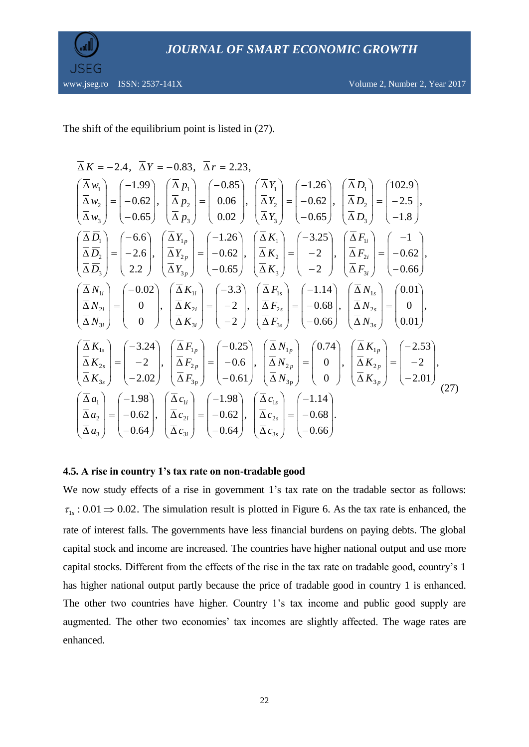



The shift of the equilibrium point is listed in (27).

$$
\overline{\Delta} K = -2.4, \quad \overline{\Delta} Y = -0.83, \quad \overline{\Delta} r = 2.23,
$$
\n
$$
\begin{pmatrix}\n\overline{\Delta} w_1 \\
\overline{\Delta} w_2 \\
\overline{\Delta} w_3\n\end{pmatrix} = \begin{pmatrix}\n-1.99 \\
-0.62 \\
-0.65\n\end{pmatrix}, \quad \overline{\Delta} p_1 \\
\overline{\Delta} p_2 \\
\overline{\Delta} p_3\n\end{pmatrix} = \begin{pmatrix}\n-0.85 \\
0.06 \\
0.02\n\end{pmatrix}, \quad \overline{\Delta} Y_1 \\
\overline{\Delta} Y_2 \\
\overline{\Delta} Y_3\n\end{pmatrix} = \begin{pmatrix}\n-1.26 \\
-0.62 \\
-0.65\n\end{pmatrix}, \quad \overline{\Delta} P_1 \\
\overline{\Delta} P_2 \\
\overline{\Delta} P_3\n\end{pmatrix} = \begin{pmatrix}\n-2.5 \\
-2.6 \\
2.2\n\end{pmatrix}, \quad \overline{\Delta} Y_{1p} \\
\overline{\Delta} Y_{2p} \\
\overline{\Delta} Y_{3p}\n\end{pmatrix} = \begin{pmatrix}\n-1.26 \\
-0.62 \\
-0.65\n\end{pmatrix}, \quad \overline{\Delta} Y_1 \\
\overline{\Delta} Y_2 \\
\overline{\Delta} Y_3\n\end{pmatrix} = \begin{pmatrix}\n-3.25 \\
-2 \\
-2\n\end{pmatrix}, \quad \overline{\Delta} Y_{11} \\
\overline{\Delta} Y_{22} \\
\overline{\Delta} Y_{31} \\
\overline{\Delta} Y_{32} \\
\overline{\Delta} Y_{33} \\
\overline{\Delta} Y_{34} \\
\overline{\Delta} Y_{35} \\
\overline{\Delta} Y_{36} \\
\overline{\Delta} Y_{37} \\
\overline{\Delta} Y_{38} \\
\overline{\Delta} Y_{38} \\
\overline{\Delta} Y_{39} \\
\overline{\Delta} Y_{30} \\
\overline{\Delta} Y_{31} \\
\overline{\Delta} Y_{31} \\
\overline{\Delta} Y_{32} \\
\overline{\Delta} Y_{33} \\
\overline{\Delta} Y_{34} \\
\overline{\Delta} Y_{35} \\
\overline{\Delta} Y_{36} \\
\overline{\Delta} Y_{37} \\
\overline{\Delta} Y_{38} \\
\overline{\Delta} Y_{39} \\
\overline{\Delta} Y_{31
$$

#### **4.5. A rise in country 1's tax rate on non-tradable good**

We now study effects of a rise in government 1's tax rate on the tradable sector as follows:  $\tau_{1s}$  : 0.01  $\Rightarrow$  0.02. The simulation result is plotted in Figure 6. As the tax rate is enhanced, the rate of interest falls. The governments have less financial burdens on paying debts. The global capital stock and income are increased. The countries have higher national output and use more capital stocks. Different from the effects of the rise in the tax rate on tradable good, country's 1 has higher national output partly because the price of tradable good in country 1 is enhanced. The other two countries have higher. Country 1's tax income and public good supply are augmented. The other two economies' tax incomes are slightly affected. The wage rates are enhanced.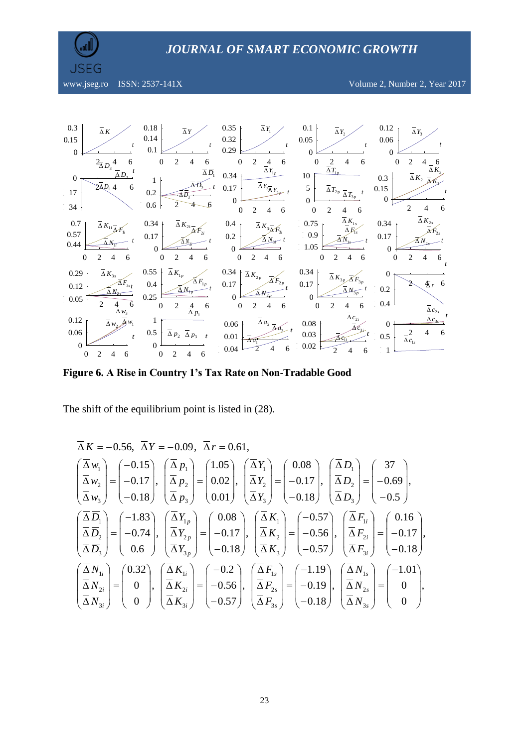

www.jseg.ro ISSN: 2537-141X Volume 2, Number 2, Year 2017



**Figure 6. A Rise in Country 1's Tax Rate on Non-Tradable Good**

The shift of the equilibrium point is listed in (28).

$$
\overline{\Delta} K = -0.56, \quad \overline{\Delta} Y = -0.09, \quad \overline{\Delta} r = 0.61,
$$
\n
$$
\begin{pmatrix}\n\overline{\Delta} w_1 \\
\overline{\Delta} w_2 \\
\overline{\Delta} w_3\n\end{pmatrix} = \begin{pmatrix}\n-0.15 \\
-0.17 \\
-0.18\n\end{pmatrix}, \quad\n\begin{pmatrix}\n\overline{\Delta} p_1 \\
\overline{\Delta} p_2 \\
\overline{\Delta} p_3\n\end{pmatrix} = \begin{pmatrix}\n1.05 \\
0.02 \\
0.01\n\end{pmatrix}, \quad\n\begin{pmatrix}\n\overline{\Delta} Y_1 \\
\overline{\Delta} Y_2 \\
\overline{\Delta} Y_3\n\end{pmatrix} = \begin{pmatrix}\n0.08 \\
-0.17 \\
-0.18\n\end{pmatrix}, \quad\n\begin{pmatrix}\n\overline{\Delta} D_1 \\
\overline{\Delta} D_2 \\
\overline{\Delta} D_3\n\end{pmatrix} = \begin{pmatrix}\n-0.69 \\
-0.5\n\end{pmatrix},
$$
\n
$$
\begin{pmatrix}\n\overline{\Delta} \overline{D}_1 \\
\overline{\Delta} \overline{D}_2 \\
\overline{\Delta} \overline{D}_3\n\end{pmatrix} = \begin{pmatrix}\n-1.83 \\
-0.74 \\
0.6\n\end{pmatrix}, \quad\n\begin{pmatrix}\n\overline{\Delta} Y_{1p} \\
\overline{\Delta} Y_{2p} \\
\overline{\Delta} Y_{3p}\n\end{pmatrix} = \begin{pmatrix}\n0.08 \\
-0.17 \\
-0.18\n\end{pmatrix}, \quad\n\begin{pmatrix}\n\overline{\Delta} K_1 \\
\overline{\Delta} K_2 \\
\overline{\Delta} K_3\n\end{pmatrix} = \begin{pmatrix}\n-0.57 \\
-0.56 \\
-0.57\n\end{pmatrix}, \quad\n\begin{pmatrix}\n\overline{\Delta} F_{1i} \\
\overline{\Delta} F_{2i} \\
\overline{\Delta} F_{3i}\n\end{pmatrix} = \begin{pmatrix}\n0.16 \\
-0.18\n\end{pmatrix},
$$
\n
$$
\begin{pmatrix}\n\overline{\Delta} N_{1i} \\
\overline{\Delta} N_{2i} \\
\overline{\Delta} N_{3i}\n\end{pmatrix} = \begin{pmatrix}\n0.32 \\
0 \\
0 \\
0
$$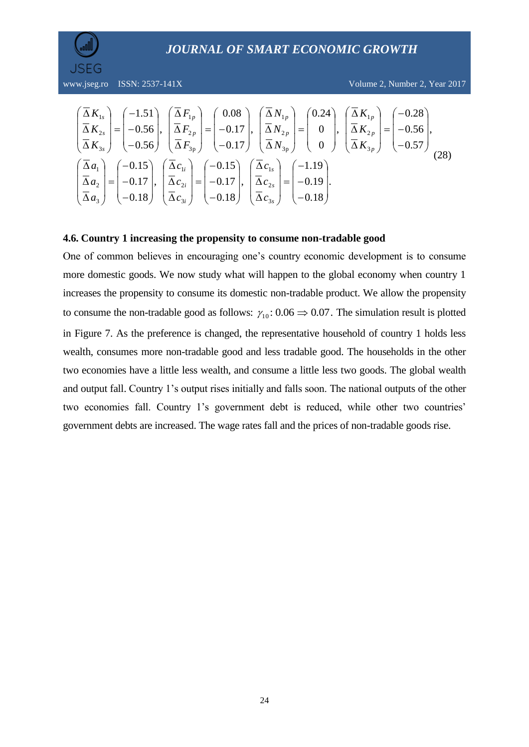

$$
\begin{pmatrix}\n\overline{\Delta}\,K_{1s} \\
\overline{\Delta}\,K_{2s} \\
\overline{\Delta}\,K_{3s}\n\end{pmatrix} = \begin{pmatrix}\n-1.51 \\
-0.56 \\
-0.56\n\end{pmatrix}, \begin{pmatrix}\n\overline{\Delta}\,F_{1p} \\
\overline{\Delta}\,F_{2p} \\
\overline{\Delta}\,F_{3p}\n\end{pmatrix} = \begin{pmatrix}\n0.08 \\
-0.17 \\
-0.17\n\end{pmatrix}, \begin{pmatrix}\n\overline{\Delta}\,N_{1p} \\
\overline{\Delta}\,N_{2p} \\
\overline{\Delta}\,N_{3p}\n\end{pmatrix} = \begin{pmatrix}\n0.24 \\
0 \\
0 \\
0\n\end{pmatrix}, \begin{pmatrix}\n\overline{\Delta}\,K_{1p} \\
\overline{\Delta}\,K_{2p} \\
\overline{\Delta}\,K_{3p}\n\end{pmatrix} = \begin{pmatrix}\n-0.28 \\
-0.56 \\
-0.57\n\end{pmatrix},
$$
\n
$$
\begin{pmatrix}\n\overline{\Delta}\,a_1 \\
\overline{\Delta}\,a_2 \\
\overline{\Delta}\,a_3\n\end{pmatrix} = \begin{pmatrix}\n-0.15 \\
-0.17 \\
-0.18\n\end{pmatrix}, \begin{pmatrix}\n\overline{\Delta}\,c_{1s} \\
\overline{\Delta}\,c_{2s} \\
-0.18\n\end{pmatrix} = \begin{pmatrix}\n-1.19 \\
-0.19 \\
-0.18\n\end{pmatrix}.
$$
\n(28)

#### **4.6. Country 1 increasing the propensity to consume non-tradable good**

One of common believes in encouraging one's country economic development is to consume more domestic goods. We now study what will happen to the global economy when country 1 increases the propensity to consume its domestic non-tradable product. We allow the propensity to consume the non-tradable good as follows:  $\gamma_{10}$ : 0.06  $\Rightarrow$  0.07. The simulation result is plotted in Figure 7. As the preference is changed, the representative household of country 1 holds less wealth, consumes more non-tradable good and less tradable good. The households in the other two economies have a little less wealth, and consume a little less two goods. The global wealth and output fall. Country 1's output rises initially and falls soon. The national outputs of the other two economies fall. Country 1's government debt is reduced, while other two countries' government debts are increased. The wage rates fall and the prices of non-tradable goods rise.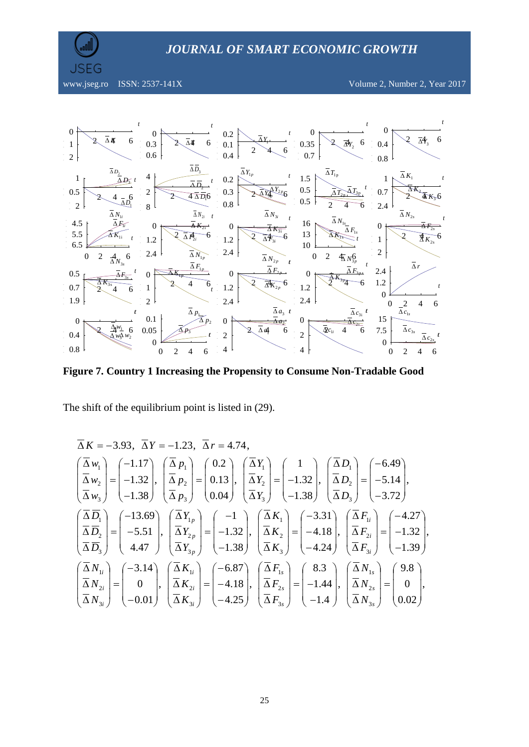

www.jseg.ro ISSN: 2537-141X Volume 2, Number 2, Year 2017



**Figure 7. Country 1 Increasing the Propensity to Consume Non-Tradable Good**

The shift of the equilibrium point is listed in (29).

$$
\overline{\Delta}K = -3.93, \quad \overline{\Delta}Y = -1.23, \quad \overline{\Delta}r = 4.74,
$$
\n
$$
\begin{pmatrix}\n\overline{\Delta}w_1 \\
\overline{\Delta}w_2 \\
\overline{\Delta}w_3\n\end{pmatrix} = \begin{pmatrix}\n-1.17 \\
-1.32 \\
-1.38\n\end{pmatrix}, \quad \begin{pmatrix}\n\overline{\Delta}p_1 \\
\overline{\Delta}p_2 \\
\overline{\Delta}p_3\n\end{pmatrix} = \begin{pmatrix}\n0.2 \\
0.13 \\
0.04\n\end{pmatrix}, \quad \begin{pmatrix}\n\overline{\Delta}Y_1 \\
\overline{\Delta}Y_2 \\
\overline{\Delta}Y_3\n\end{pmatrix} = \begin{pmatrix}\n1.32 \\
-1.38\n\end{pmatrix}, \quad \begin{pmatrix}\n\overline{\Delta}D_1 \\
\overline{\Delta}D_2 \\
\overline{\Delta}D_3\n\end{pmatrix} = \begin{pmatrix}\n-5.14 \\
-3.72\n\end{pmatrix},
$$
\n
$$
\begin{pmatrix}\n\overline{\Delta} \overline{D}_1 \\
\overline{\Delta} \overline{D}_2 \\
\overline{\Delta} \overline{D}_3\n\end{pmatrix} = \begin{pmatrix}\n-13.69 \\
-5.51 \\
4.47\n\end{pmatrix}, \quad \begin{pmatrix}\n\overline{\Delta}Y_1_p \\
\overline{\Delta}Y_2_p \\
\overline{\Delta}Y_3_p\n\end{pmatrix} = \begin{pmatrix}\n-1 \\
-1.32 \\
-1.38\n\end{pmatrix}, \quad \begin{pmatrix}\n\overline{\Delta}K_1 \\
\overline{\Delta}K_2 \\
\overline{\Delta}K_3\n\end{pmatrix} = \begin{pmatrix}\n-3.31 \\
-4.18 \\
-4.24\n\end{pmatrix}, \quad \begin{pmatrix}\n\overline{\Delta}F_{1i} \\
\overline{\Delta}F_{2i} \\
\overline{\Delta}F_{3i}\n\end{pmatrix} = \begin{pmatrix}\n-4.27 \\
-1.39\n\end{pmatrix},
$$
\n
$$
\begin{pmatrix}\n\overline{\Delta}N_{1i} \\
\overline{\Delta}N_{2i} \\
\overline{\Delta}N_{3i}\n\end{pmatrix} = \begin{pmatrix}\n-3.14 \\
0 \\
-0.01\n\end{pmatrix}, \quad \begin
$$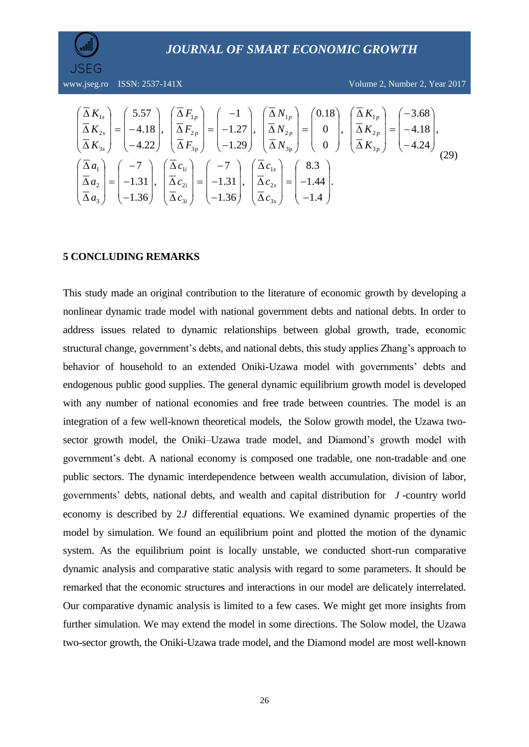

$$
\begin{pmatrix}\n\overline{\Delta}\,K_{1s} \\
\overline{\Delta}\,K_{2s} \\
\overline{\Delta}\,K_{3s}\n\end{pmatrix} = \begin{pmatrix}\n5.57 \\
-4.18 \\
-4.22\n\end{pmatrix}, \begin{pmatrix}\n\overline{\Delta}\,F_{1p} \\
\overline{\Delta}\,F_{2p} \\
\overline{\Delta}\,F_{3p}\n\end{pmatrix} = \begin{pmatrix}\n-1 \\
-1.27 \\
-1.29\n\end{pmatrix}, \begin{pmatrix}\n\overline{\Delta}\,N_{1p} \\
\overline{\Delta}\,N_{2p} \\
\overline{\Delta}\,N_{3p}\n\end{pmatrix} = \begin{pmatrix}\n0.18 \\
0 \\
0\n\end{pmatrix}, \begin{pmatrix}\n\overline{\Delta}\,K_{1p} \\
\overline{\Delta}\,K_{2p} \\
\overline{\Delta}\,K_{3p}\n\end{pmatrix} = \begin{pmatrix}\n-3.68 \\
-4.18 \\
-4.24\n\end{pmatrix},
$$
\n
$$
\begin{pmatrix}\n\overline{\Delta}\,a_1 \\
\overline{\Delta}\,a_2 \\
\overline{\Delta}\,a_3\n\end{pmatrix} = \begin{pmatrix}\n-7 \\
-1.31 \\
-1.36\n\end{pmatrix}, \begin{pmatrix}\n\overline{\Delta}\,c_{1s} \\
\overline{\Delta}\,c_{2s} \\
-1.36\n\end{pmatrix} = \begin{pmatrix}\n8.3 \\
-1.44 \\
-1.4\n\end{pmatrix}.
$$
\n(29)

#### **5 CONCLUDING REMARKS**

This study made an original contribution to the literature of economic growth by developing a nonlinear dynamic trade model with national government debts and national debts. In order to address issues related to dynamic relationships between global growth, trade, economic structural change, government's debts, and national debts, this study applies Zhang's approach to behavior of household to an extended Oniki-Uzawa model with governments' debts and endogenous public good supplies. The general dynamic equilibrium growth model is developed with any number of national economies and free trade between countries. The model is an integration of a few well-known theoretical models, the Solow growth model, the Uzawa twosector growth model, the Oniki–Uzawa trade model, and Diamond's growth model with government's debt. A national economy is composed one tradable, one non-tradable and one public sectors. The dynamic interdependence between wealth accumulation, division of labor, governments' debts, national debts, and wealth and capital distribution for *J* -country world economy is described by 2*J* differential equations. We examined dynamic properties of the model by simulation. We found an equilibrium point and plotted the motion of the dynamic system. As the equilibrium point is locally unstable, we conducted short-run comparative dynamic analysis and comparative static analysis with regard to some parameters. It should be remarked that the economic structures and interactions in our model are delicately interrelated. Our comparative dynamic analysis is limited to a few cases. We might get more insights from further simulation. We may extend the model in some directions. The Solow model, the Uzawa two-sector growth, the Oniki-Uzawa trade model, and the Diamond model are most well-known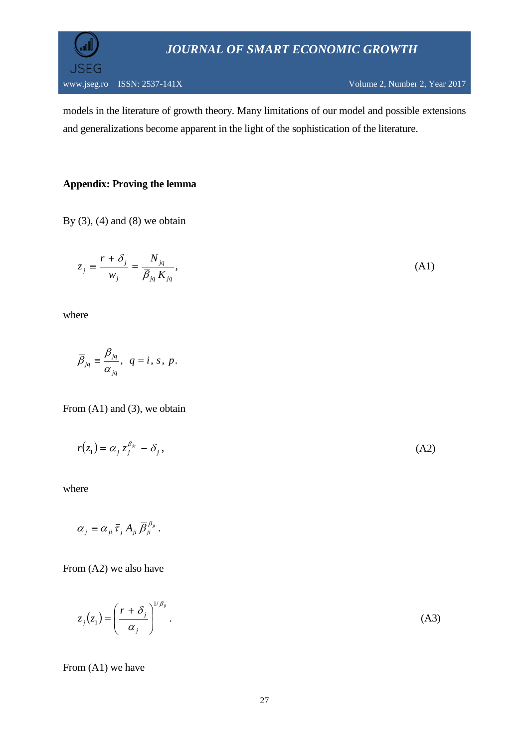

models in the literature of growth theory. Many limitations of our model and possible extensions and generalizations become apparent in the light of the sophistication of the literature.

# **Appendix: Proving the lemma**

By  $(3)$ ,  $(4)$  and  $(8)$  we obtain

$$
z_j \equiv \frac{r + \delta_j}{w_j} = \frac{N_{jq}}{\overline{\beta}_{jq} K_{jq}},
$$
\n(A1)

where

$$
\overline{\beta}_{jq} \equiv \frac{\beta_{jq}}{\alpha_{jq}}, \ \ q=i, s, p.
$$

From (A1) and (3), we obtain

$$
r(z_1) = \alpha_j z_j^{\beta_{jq}} - \delta_j, \tag{A2}
$$

where

$$
\alpha_{j} \equiv \alpha_{ji} \bar{\tau}_{j} A_{ji} \bar{\beta}_{ji}^{\beta_{ji}}.
$$

From (A2) we also have

 $z_i(z_1) = \frac{z_1 + z_2}{z_1 + z_2}$ . 1/ 1 *ji j j j r z z*  $_{\beta}$  $\alpha$ δ  $\overline{\phantom{a}}$ J J  $\backslash$  $\mathsf{I}$  $\mathsf{I}$  $\setminus$  $(r +$  $= \left| \frac{1 + \sigma_j}{\sigma_j} \right|$  (A3)

From (A1) we have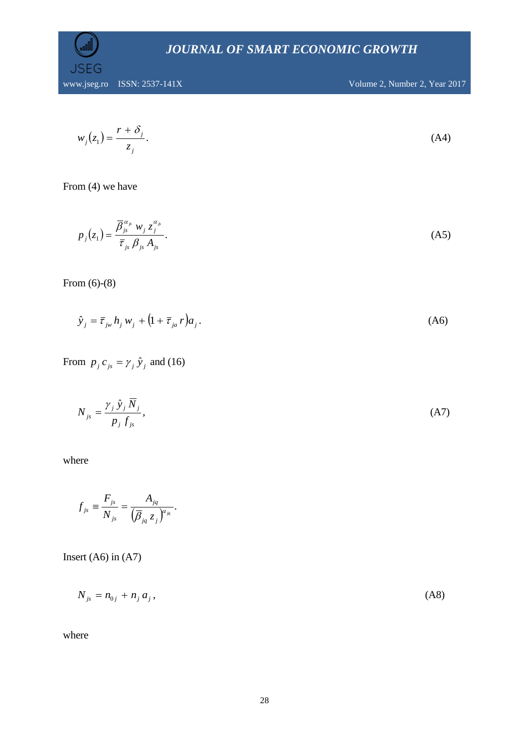

$$
w_j(z_1) = \frac{r + \delta_j}{z_j}.
$$
 (A4)

From (4) we have

$$
p_j(z_1) = \frac{\overline{\beta}_{j_s}^{\alpha_{j_s}} w_j z_j^{\alpha_{j_s}}}{\overline{\tau}_{j_s} \beta_{j_s} A_{j_s}}.
$$
 (A5)

From (6)-(8)

$$
\hat{y}_j = \bar{\tau}_{j\omega} h_j w_j + (1 + \bar{\tau}_{j\omega} r) a_j. \tag{A6}
$$

# From  $p_j c_{js} = \gamma_j \hat{y}_j$  and (16)

$$
N_{js} = \frac{\gamma_j \hat{y}_j \overline{N}_j}{p_j f_{js}},\tag{A7}
$$

where

$$
f_{js} \equiv \frac{F_{js}}{N_{js}} = \frac{A_{jq}}{\left(\overline{\beta}_{jq} z_j\right)^{\alpha_{js}}}.
$$

Insert  $(A6)$  in  $(A7)$ 

$$
N_{js} = n_{0j} + n_j a_j, \tag{A8}
$$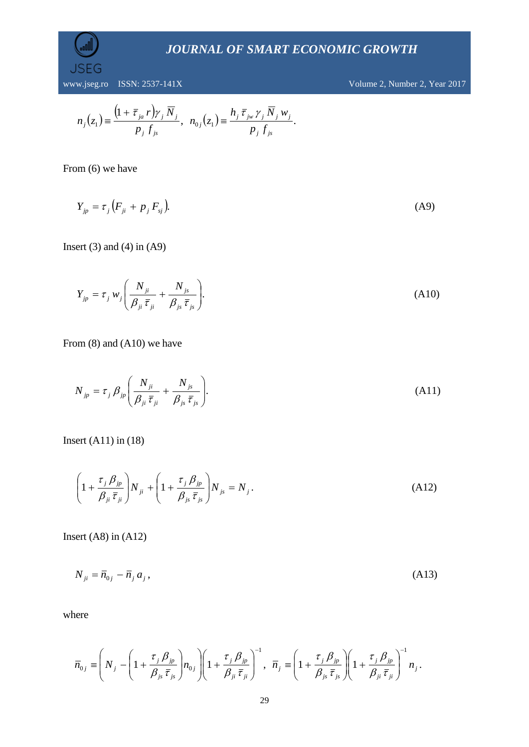www.jseg.ro ISSN: 2537-141X Volume 2, Number 2, Year 2017

$$
n_j(z_1) \equiv \frac{\left(1 + \overline{\tau}_{ja} r\right) \gamma_j \overline{N}_j}{p_j f_{js}}, \ \ n_{0j}(z_1) \equiv \frac{h_j \overline{\tau}_{jw} \gamma_j \overline{N}_j w_j}{p_j f_{js}}.
$$

From (6) we have

**SEG** 

 $Y_{jp} = \tau_j \left( F_{ji} + p_j F_{sj} \right).$  (A9)

Insert  $(3)$  and  $(4)$  in  $(A9)$ 

$$
Y_{jp} = \tau_j w_j \left( \frac{N_{ji}}{\beta_{ji} \overline{\tau}_{ji}} + \frac{N_{js}}{\beta_{js} \overline{\tau}_{js}} \right).
$$
 (A10)

From (8) and (A10) we have

$$
N_{jp} = \tau_j \beta_{jp} \left( \frac{N_{ji}}{\beta_{ji} \overline{\tau}_{ji}} + \frac{N_{js}}{\beta_{js} \overline{\tau}_{js}} \right). \tag{A11}
$$

Insert (A11) in (18)

$$
\left(1+\frac{\tau_j \beta_{jp}}{\beta_{ji} \bar{\tau}_{ji}}\right) N_{ji} + \left(1+\frac{\tau_j \beta_{jp}}{\beta_{js} \bar{\tau}_{js}}\right) N_{js} = N_j.
$$
\n(A12)

Insert (A8) in (A12)

 $N_{ji} = \bar{n}_{0j} - \bar{n}_j a_j$ (A13)

$$
\overline{n}_{0j} \equiv \left( N_j - \left( 1 + \frac{\tau_j \beta_{jp}}{\beta_{js} \overline{\tau}_{js}} \right) n_{0j} \right) \left( 1 + \frac{\tau_j \beta_{jp}}{\beta_{ji} \overline{\tau}_{ji}} \right)^{-1}, \quad \overline{n}_j \equiv \left( 1 + \frac{\tau_j \beta_{jp}}{\beta_{js} \overline{\tau}_{js}} \right) \left( 1 + \frac{\tau_j \beta_{jp}}{\beta_{ji} \overline{\tau}_{ji}} \right)^{-1} n_j.
$$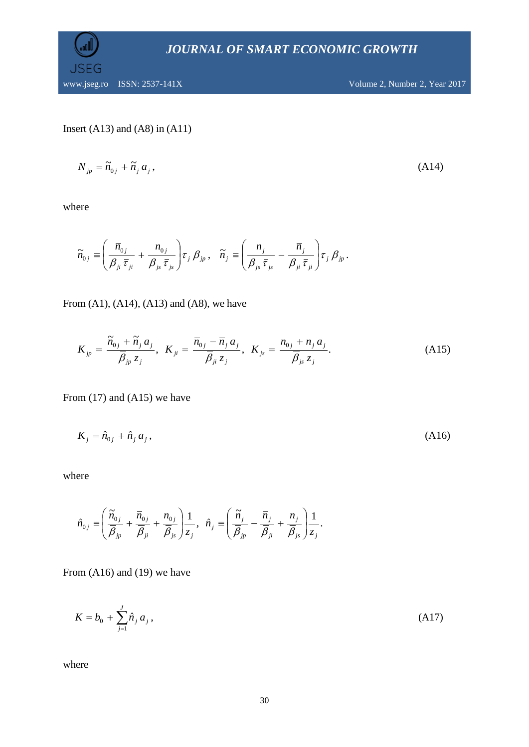

Insert 
$$
(A13)
$$
 and  $(A8)$  in  $(A11)$ 

$$
N_{jp} = \widetilde{n}_{0j} + \widetilde{n}_j a_j, \tag{A14}
$$

where

$$
\widetilde{n}_{0j} \equiv \left(\frac{\overline{n}_{0j}}{\beta_{ji}\,\overline{\tau}_{ji}} + \frac{n_{0j}}{\beta_{js}\,\overline{\tau}_{js}}\right)\! \tau_j \,\beta_{jp} \,, \quad \widetilde{n}_j \equiv \left(\frac{n_j}{\beta_{js}\,\overline{\tau}_{js}} - \frac{\overline{n}_j}{\beta_{ji}\,\overline{\tau}_{ji}}\right)\! \tau_j \,\beta_{jp} \,.
$$

From (A1), (A14), (A13) and (A8), we have

$$
K_{jp} = \frac{\widetilde{n}_{0j} + \widetilde{n}_j a_j}{\overline{\beta}_{jp} z_j}, \ \ K_{ji} = \frac{\overline{n}_{0j} - \overline{n}_j a_j}{\overline{\beta}_{ji} z_j}, \ \ K_{js} = \frac{n_{0j} + n_j a_j}{\overline{\beta}_{js} z_j}.
$$
 (A15)

From (17) and (A15) we have

$$
K_j = \hat{n}_{0j} + \hat{n}_j a_j, \tag{A16}
$$

where

$$
\hat{n}_{0j} \equiv \left( \frac{\widetilde{n}_{0j}}{\overline{\beta}_{jp}} + \frac{\overline{n}_{0j}}{\overline{\beta}_{ji}} + \frac{n_{0j}}{\overline{\beta}_{js}} \right) \frac{1}{z_j}, \ \ \hat{n}_j \equiv \left( \frac{\widetilde{n}_j}{\overline{\beta}_{jp}} - \frac{\overline{n}_j}{\overline{\beta}_{ji}} + \frac{n_j}{\overline{\beta}_{js}} \right) \frac{1}{z_j}.
$$

From (A16) and (19) we have

$$
K = b_0 + \sum_{j=1}^{J} \hat{n}_j a_j,
$$
 (A17)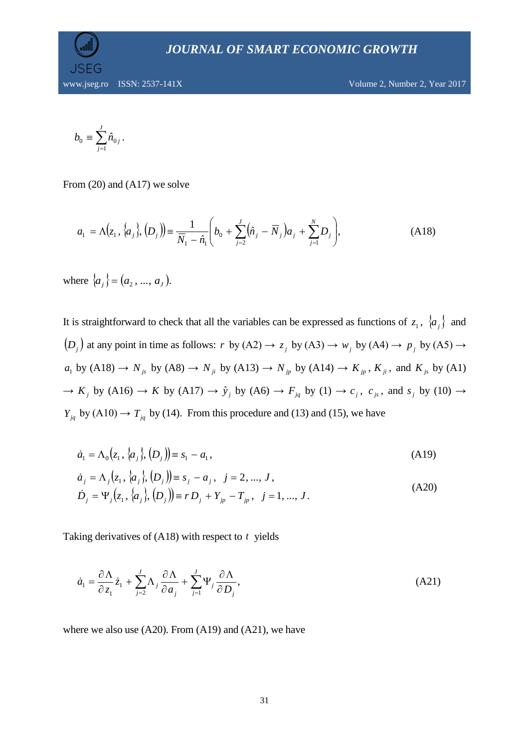

$$
b_0 \equiv \sum_{j=1}^J \hat n_{0\,j}\,.
$$

From (20) and (A17) we solve

$$
a_1 = \Lambda(z_1, \{a_j\}, \{D_j\}) = \frac{1}{\overline{N}_1 - \hat{n}_1} \left(b_0 + \sum_{j=2}^J (\hat{n}_j - \overline{N}_j)a_j + \sum_{j=1}^N D_j\right),
$$
(A18)

where  $\{a_j\} = (a_2, ..., a_J)$ .

It is straightforward to check that all the variables can be expressed as functions of  $z_1$ ,  $\{a_j\}$  and  $(D_j)$  at any point in time as follows: *r* by (A2)  $\rightarrow$   $z_j$  by (A3)  $\rightarrow$   $w_j$  by (A4)  $\rightarrow$   $p_j$  by (A5)  $\rightarrow$  $a_1$  by (A18)  $\rightarrow$   $N_{j_s}$  by (A8)  $\rightarrow$   $N_{j_t}$  by (A13)  $\rightarrow$   $N_{j_p}$  by (A14)  $\rightarrow$   $K_{j_p}$ ,  $K_{ji}$ , and  $K_{j_s}$  by (A1)  $\rightarrow$  *K*<sub>*j*</sub> by (A16)  $\rightarrow$  *K* by (A17)  $\rightarrow$   $\hat{y}_j$  by (A6)  $\rightarrow$  *F<sub>jq</sub>* by (1)  $\rightarrow$  *c<sub>j</sub>, c<sub>js</sub>, and s<sub>j</sub> by (10)*  $\rightarrow$  $Y_{jq}$  by (A10)  $\rightarrow T_{jq}$  by (14). From this procedure and (13) and (15), we have

$$
\dot{a}_1 = \Lambda_0(z_1, \{a_j\}, \{D_j\}) \equiv s_1 - a_1,\tag{A19}
$$

$$
\dot{a}_j = \Lambda_j(z_1, \{a_j\}, D_j) = s_j - a_j, \quad j = 2, ..., J,
$$
  
\n
$$
\dot{D}_j = \Psi_j(z_1, \{a_j\}, D_j) = r D_j + Y_{jp} - T_{jp}, \quad j = 1, ..., J.
$$
\n(A20)

Taking derivatives of  $(A18)$  with respect to  $t$  yields

$$
\dot{a}_1 = \frac{\partial \Lambda}{\partial z_1} \dot{z}_1 + \sum_{j=2}^{J} \Lambda_j \frac{\partial \Lambda}{\partial a_j} + \sum_{j=1}^{J} \Psi_j \frac{\partial \Lambda}{\partial D_j},
$$
\n(A21)

where we also use  $(A20)$ . From  $(A19)$  and  $(A21)$ , we have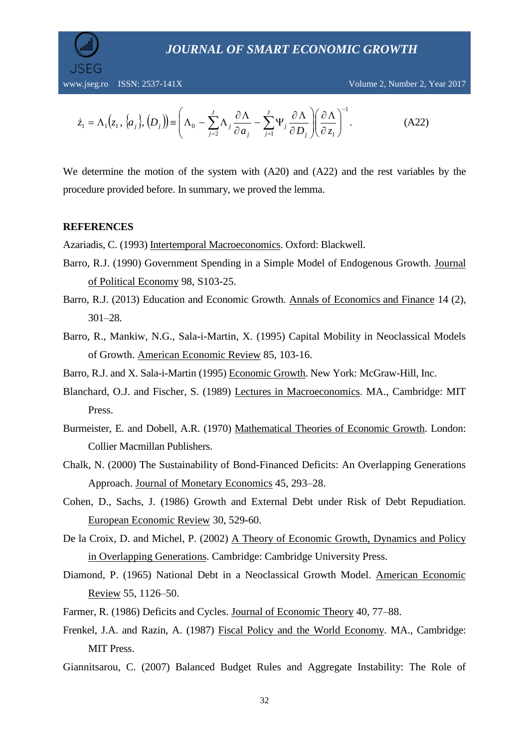

$$
\dot{z}_1 = \Lambda_1(z_1, \{\alpha_j\}, \{D_j\}) \equiv \left(\Lambda_0 - \sum_{j=2}^J \Lambda_j \frac{\partial \Lambda}{\partial a_j} - \sum_{j=1}^J \Psi_j \frac{\partial \Lambda}{\partial D_j}\right) \left(\frac{\partial \Lambda}{\partial z_1}\right)^{-1}.\tag{A22}
$$

We determine the motion of the system with (A20) and (A22) and the rest variables by the procedure provided before. In summary, we proved the lemma.

#### **REFERENCES**

Azariadis, C. (1993) Intertemporal Macroeconomics. Oxford: Blackwell.

- Barro, R.J. (1990) Government Spending in a Simple Model of Endogenous Growth. Journal of Political Economy 98, S103-25.
- Barro, R.J. (2013) Education and Economic Growth. Annals of Economics and Finance 14 (2), 301–28.
- Barro, R., Mankiw, N.G., Sala-i-Martin, X. (1995) Capital Mobility in Neoclassical Models of Growth. American Economic Review 85, 103-16.

Barro, R.J. and X. Sala-i-Martin (1995) Economic Growth. New York: McGraw-Hill, Inc.

- Blanchard, O.J. and Fischer, S. (1989) Lectures in Macroeconomics. MA., Cambridge: MIT Press.
- Burmeister, E. and Dobell, A.R. (1970) Mathematical Theories of Economic Growth. London: Collier Macmillan Publishers.
- Chalk, N. (2000) The Sustainability of Bond-Financed Deficits: An Overlapping Generations Approach. Journal of Monetary Economics 45, 293–28.
- Cohen, D., Sachs, J. (1986) Growth and External Debt under Risk of Debt Repudiation. European Economic Review 30, 529-60.
- De la Croix, D. and Michel, P. (2002) A Theory of Economic Growth, Dynamics and Policy in Overlapping Generations. Cambridge: Cambridge University Press.
- Diamond, P. (1965) National Debt in a Neoclassical Growth Model. American Economic Review 55, 1126–50.
- Farmer, R. (1986) Deficits and Cycles. Journal of Economic Theory 40, 77–88.
- Frenkel, J.A. and Razin, A. (1987) Fiscal Policy and the World Economy. MA., Cambridge: MIT Press.
- Giannitsarou, C. (2007) Balanced Budget Rules and Aggregate Instability: The Role of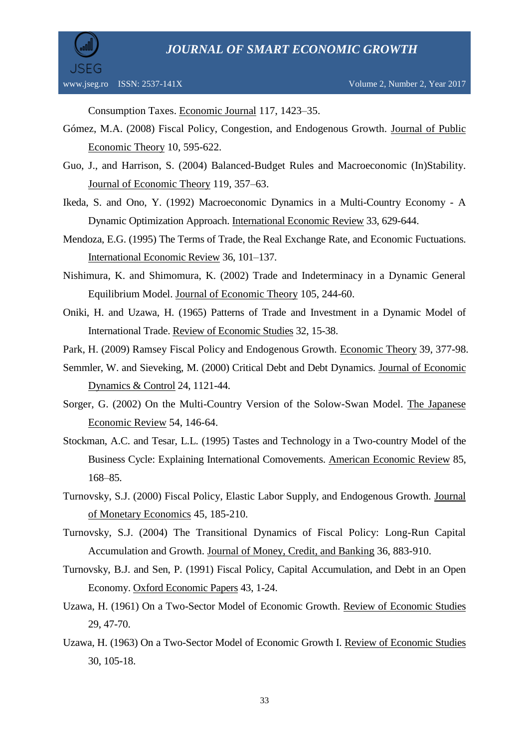

Consumption Taxes. Economic Journal 117, 1423–35.

- Gómez, M.A. (2008) Fiscal Policy, Congestion, and Endogenous Growth. Journal of Public Economic Theory 10, 595-622.
- Guo, J., and Harrison, S. (2004) Balanced-Budget Rules and Macroeconomic (In)Stability. Journal of Economic Theory 119, 357–63.
- Ikeda, S. and Ono, Y. (1992) Macroeconomic Dynamics in a Multi-Country Economy A Dynamic Optimization Approach. International Economic Review 33, 629-644.
- Mendoza, E.G. (1995) The Terms of Trade, the Real Exchange Rate, and Economic Fuctuations. International Economic Review 36, 101–137.
- Nishimura, K. and Shimomura, K. (2002) Trade and Indeterminacy in a Dynamic General Equilibrium Model. Journal of Economic Theory 105, 244-60.
- Oniki, H. and Uzawa, H. (1965) Patterns of Trade and Investment in a Dynamic Model of International Trade. Review of Economic Studies 32, 15-38.
- Park, H. (2009) Ramsey Fiscal Policy and Endogenous Growth. Economic Theory 39, 377-98.
- Semmler, W. and Sieveking, M. (2000) Critical Debt and Debt Dynamics. Journal of Economic Dynamics & Control 24, 1121-44.
- Sorger, G. (2002) On the Multi-Country Version of the Solow-Swan Model. The Japanese Economic Review 54, 146-64.
- Stockman, A.C. and Tesar, L.L. (1995) Tastes and Technology in a Two-country Model of the Business Cycle: Explaining International Comovements. American Economic Review 85, 168–85.
- Turnovsky, S.J. (2000) Fiscal Policy, Elastic Labor Supply, and Endogenous Growth. Journal of Monetary Economics 45, 185-210.
- Turnovsky, S.J. (2004) The Transitional Dynamics of Fiscal Policy: Long-Run Capital Accumulation and Growth. Journal of Money, Credit, and Banking 36, 883-910.
- Turnovsky, B.J. and Sen, P. (1991) Fiscal Policy, Capital Accumulation, and Debt in an Open Economy. Oxford Economic Papers 43, 1-24.
- Uzawa, H. (1961) On a Two-Sector Model of Economic Growth. Review of Economic Studies 29, 47-70.
- Uzawa, H. (1963) On a Two-Sector Model of Economic Growth I. Review of Economic Studies 30, 105-18.